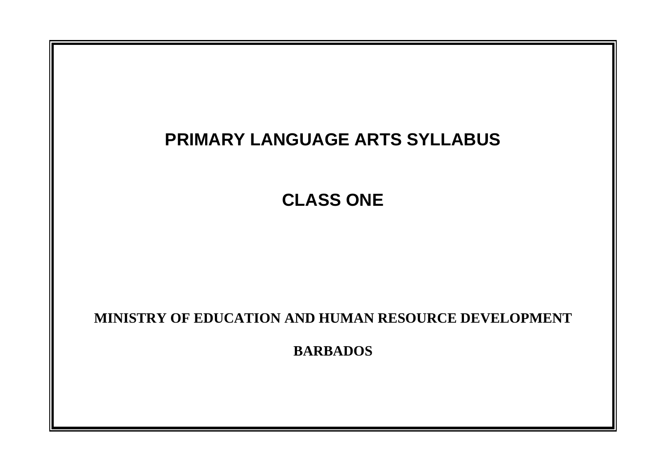# **PRIMARY LANGUAGE ARTS SYLLABUS**

**CLASS ONE**

# **MINISTRY OF EDUCATION AND HUMAN RESOURCE DEVELOPMENT**

**BARBADOS**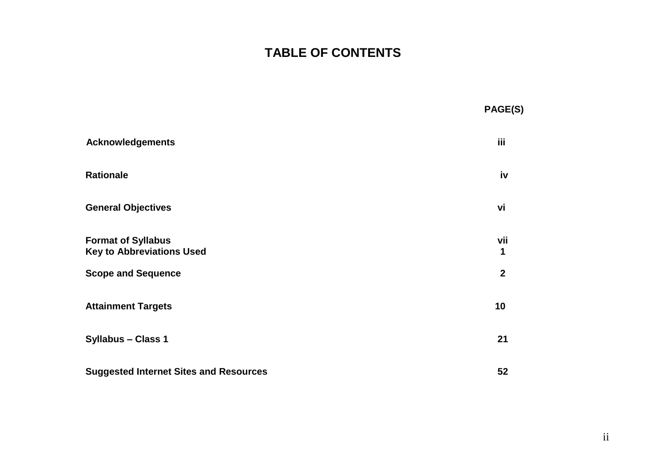## **TABLE OF CONTENTS**

|                                                               | PAGE(S)        |
|---------------------------------------------------------------|----------------|
| <b>Acknowledgements</b>                                       | iii.           |
| <b>Rationale</b>                                              | iv             |
| <b>General Objectives</b>                                     | vi             |
| <b>Format of Syllabus</b><br><b>Key to Abbreviations Used</b> | vii<br>1       |
| <b>Scope and Sequence</b>                                     | $\overline{2}$ |
| <b>Attainment Targets</b>                                     | 10             |
| <b>Syllabus - Class 1</b>                                     | 21             |
| <b>Suggested Internet Sites and Resources</b>                 | 52             |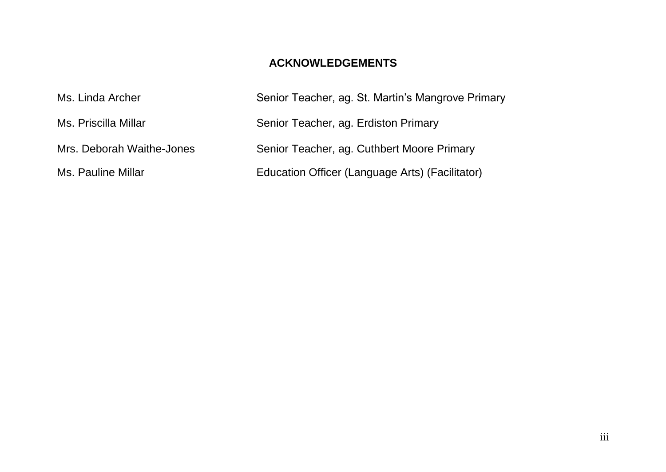## **ACKNOWLEDGEMENTS**

| Ms. Linda Archer          | Senior Teacher, ag. St. Martin's Mangrove Primary |
|---------------------------|---------------------------------------------------|
| Ms. Priscilla Millar      | Senior Teacher, ag. Erdiston Primary              |
| Mrs. Deborah Waithe-Jones | Senior Teacher, ag. Cuthbert Moore Primary        |
| Ms. Pauline Millar        | Education Officer (Language Arts) (Facilitator)   |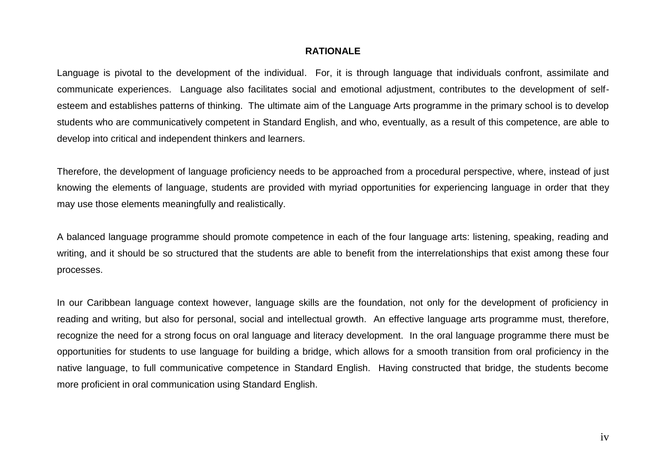#### **RATIONALE**

Language is pivotal to the development of the individual. For, it is through language that individuals confront, assimilate and communicate experiences. Language also facilitates social and emotional adjustment, contributes to the development of selfesteem and establishes patterns of thinking. The ultimate aim of the Language Arts programme in the primary school is to develop students who are communicatively competent in Standard English, and who, eventually, as a result of this competence, are able to develop into critical and independent thinkers and learners.

Therefore, the development of language proficiency needs to be approached from a procedural perspective, where, instead of just knowing the elements of language, students are provided with myriad opportunities for experiencing language in order that they may use those elements meaningfully and realistically.

A balanced language programme should promote competence in each of the four language arts: listening, speaking, reading and writing, and it should be so structured that the students are able to benefit from the interrelationships that exist among these four processes.

In our Caribbean language context however, language skills are the foundation, not only for the development of proficiency in reading and writing, but also for personal, social and intellectual growth. An effective language arts programme must, therefore, recognize the need for a strong focus on oral language and literacy development. In the oral language programme there must be opportunities for students to use language for building a bridge, which allows for a smooth transition from oral proficiency in the native language, to full communicative competence in Standard English. Having constructed that bridge, the students become more proficient in oral communication using Standard English.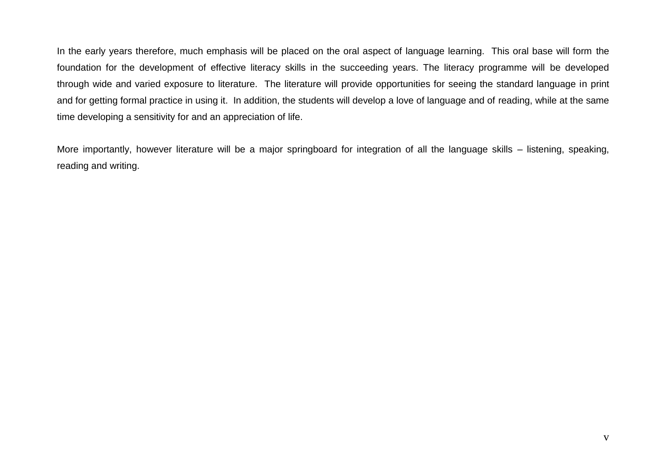In the early years therefore, much emphasis will be placed on the oral aspect of language learning. This oral base will form the foundation for the development of effective literacy skills in the succeeding years. The literacy programme will be developed through wide and varied exposure to literature. The literature will provide opportunities for seeing the standard language in print and for getting formal practice in using it. In addition, the students will develop a love of language and of reading, while at the same time developing a sensitivity for and an appreciation of life.

More importantly, however literature will be a major springboard for integration of all the language skills – listening, speaking, reading and writing.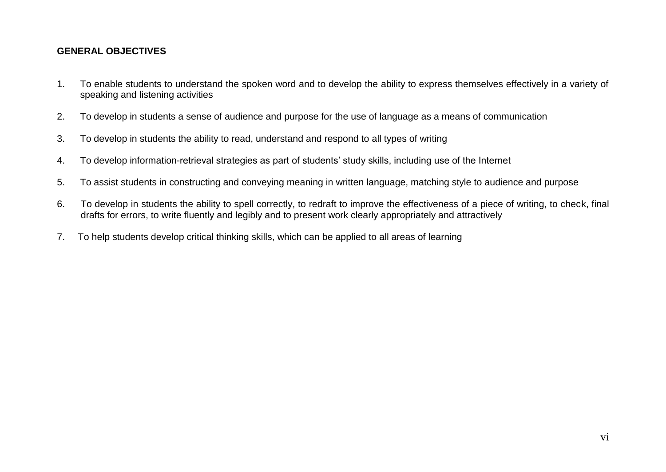#### **GENERAL OBJECTIVES**

- 1. To enable students to understand the spoken word and to develop the ability to express themselves effectively in a variety of speaking and listening activities
- 2. To develop in students a sense of audience and purpose for the use of language as a means of communication
- 3. To develop in students the ability to read, understand and respond to all types of writing
- 4. To develop information-retrieval strategies as part of students" study skills, including use of the Internet
- 5. To assist students in constructing and conveying meaning in written language, matching style to audience and purpose
- 6. To develop in students the ability to spell correctly, to redraft to improve the effectiveness of a piece of writing, to check, final drafts for errors, to write fluently and legibly and to present work clearly appropriately and attractively
- 7. To help students develop critical thinking skills, which can be applied to all areas of learning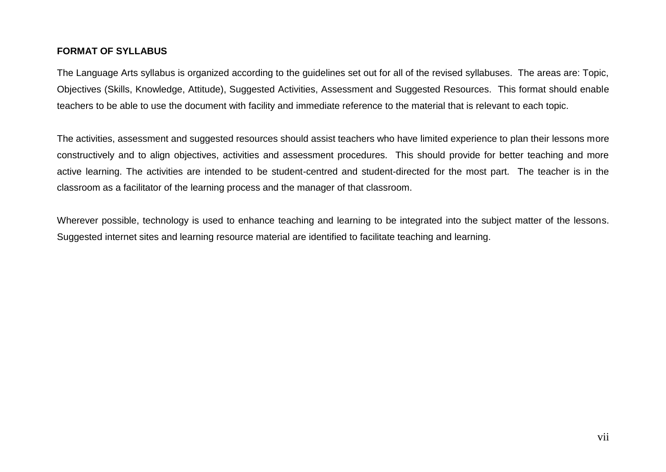#### **FORMAT OF SYLLABUS**

The Language Arts syllabus is organized according to the guidelines set out for all of the revised syllabuses. The areas are: Topic, Objectives (Skills, Knowledge, Attitude), Suggested Activities, Assessment and Suggested Resources. This format should enable teachers to be able to use the document with facility and immediate reference to the material that is relevant to each topic.

The activities, assessment and suggested resources should assist teachers who have limited experience to plan their lessons more constructively and to align objectives, activities and assessment procedures. This should provide for better teaching and more active learning. The activities are intended to be student-centred and student-directed for the most part. The teacher is in the classroom as a facilitator of the learning process and the manager of that classroom.

Wherever possible, technology is used to enhance teaching and learning to be integrated into the subject matter of the lessons. Suggested internet sites and learning resource material are identified to facilitate teaching and learning.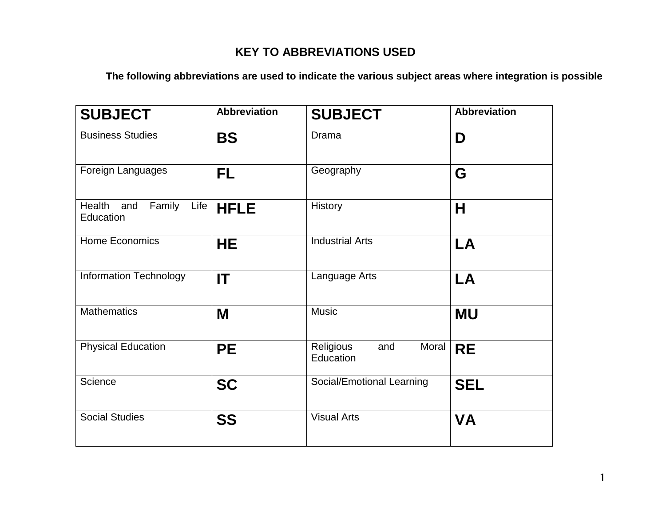## **KEY TO ABBREVIATIONS USED**

**The following abbreviations are used to indicate the various subject areas where integration is possible**

| <b>SUBJECT</b>                               | <b>Abbreviation</b>                 | <b>SUBJECT</b>                         | <b>Abbreviation</b> |
|----------------------------------------------|-------------------------------------|----------------------------------------|---------------------|
| <b>Business Studies</b>                      | <b>BS</b>                           | Drama                                  | D                   |
| Foreign Languages                            | FL                                  | Geography                              | G                   |
| Health<br>Family<br>Life<br>and<br>Education | <b>HFLE</b>                         | <b>History</b>                         | Н                   |
| Home Economics                               | <b>Industrial Arts</b><br><b>HE</b> |                                        | LA                  |
| <b>Information Technology</b>                | IT                                  | Language Arts                          | LA                  |
| <b>Mathematics</b>                           | M                                   | <b>Music</b>                           | <b>MU</b>           |
| <b>Physical Education</b>                    | <b>PE</b>                           | Religious<br>Moral<br>and<br>Education | <b>RE</b>           |
| Science                                      | <b>SC</b>                           | Social/Emotional Learning              | <b>SEL</b>          |
| <b>Social Studies</b>                        | <b>SS</b>                           | <b>Visual Arts</b>                     | <b>VA</b>           |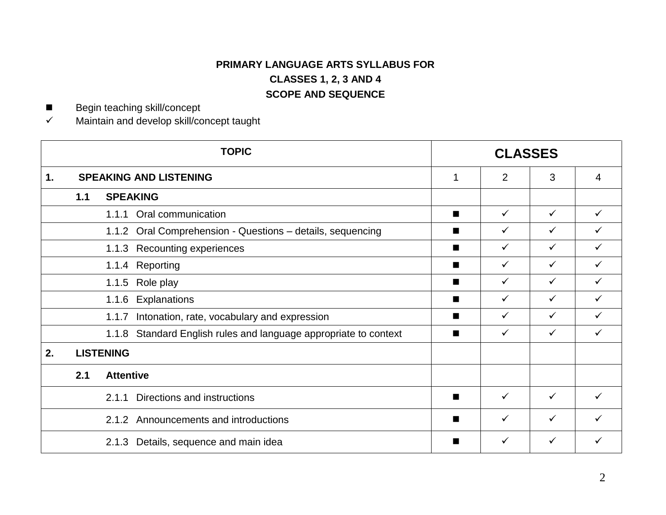## **PRIMARY LANGUAGE ARTS SYLLABUS FOR CLASSES 1, 2, 3 AND 4 SCOPE AND SEQUENCE**

■ Begin teaching skill/concept

 $\checkmark$  Maintain and develop skill/concept taught

|    |                              | <b>TOPIC</b>                                                        |                | <b>CLASSES</b> |              |              |
|----|------------------------------|---------------------------------------------------------------------|----------------|----------------|--------------|--------------|
| 1. |                              | <b>SPEAKING AND LISTENING</b>                                       | $\mathbf 1$    | $\overline{2}$ | 3            | 4            |
|    | <b>SPEAKING</b><br>1.1       |                                                                     |                |                |              |              |
|    | 1.1.1 Oral communication     |                                                                     | ■              | $\checkmark$   | $\checkmark$ |              |
|    |                              | 1.1.2 Oral Comprehension - Questions - details, sequencing          | ■              | ✓              | $\checkmark$ |              |
|    | 1.1.3 Recounting experiences |                                                                     | ■              | ✓              | $\checkmark$ |              |
|    | 1.1.4 Reporting              |                                                                     | ■              | ✓              | $\checkmark$ |              |
|    | 1.1.5 Role play              |                                                                     | ■              | ✓              | $\checkmark$ | ✓            |
|    |                              | 1.1.6 Explanations                                                  | $\blacksquare$ | ✓              | $\checkmark$ | ✓            |
|    |                              | Intonation, rate, vocabulary and expression<br>1.1.7                | ■              | $\checkmark$   | $\checkmark$ | ✓            |
|    |                              | Standard English rules and language appropriate to context<br>1.1.8 | ■              | $\checkmark$   | $\checkmark$ | $\checkmark$ |
| 2. |                              | <b>LISTENING</b>                                                    |                |                |              |              |
|    | <b>Attentive</b><br>2.1      |                                                                     |                |                |              |              |
|    |                              | Directions and instructions<br>2.1.1                                | $\blacksquare$ | $\checkmark$   | $\checkmark$ |              |
|    |                              | Announcements and introductions<br>2.1.2                            | $\blacksquare$ | $\checkmark$   | $\checkmark$ |              |
|    |                              | Details, sequence and main idea<br>2.1.3                            | ▅              | ✓              | ✓            |              |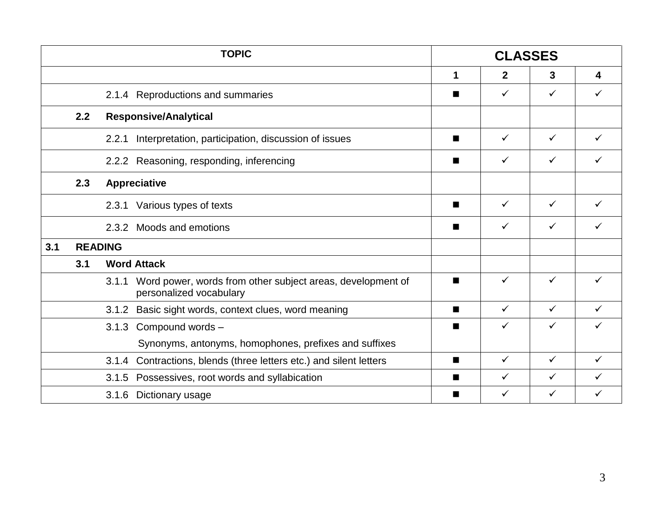|     |     | <b>TOPIC</b>                                                                                   |                | <b>CLASSES</b> |              |   |
|-----|-----|------------------------------------------------------------------------------------------------|----------------|----------------|--------------|---|
|     |     |                                                                                                | 1              | $\mathbf{2}$   | 3            | 4 |
|     |     | 2.1.4 Reproductions and summaries                                                              | ш              | ✓              | ✓            | ✓ |
|     | 2.2 | <b>Responsive/Analytical</b>                                                                   |                |                |              |   |
|     |     | Interpretation, participation, discussion of issues<br>2.2.1                                   | ш              | ✓              | ✓            |   |
|     |     | 2.2.2 Reasoning, responding, inferencing                                                       | ш              | ✓              | ✓            |   |
|     | 2.3 | <b>Appreciative</b>                                                                            |                |                |              |   |
|     |     | Various types of texts<br>2.3.1                                                                | ш              | ✓              | ✓            |   |
|     |     | Moods and emotions<br>2.3.2                                                                    | ш              | $\checkmark$   | $\checkmark$ | ✓ |
| 3.1 |     | <b>READING</b>                                                                                 |                |                |              |   |
|     | 3.1 | <b>Word Attack</b>                                                                             |                |                |              |   |
|     |     | Word power, words from other subject areas, development of<br>3.1.1<br>personalized vocabulary | $\blacksquare$ | ✓              | ✓            | ✓ |
|     |     | Basic sight words, context clues, word meaning<br>3.1.2                                        | $\blacksquare$ | $\checkmark$   | $\checkmark$ | ✓ |
|     |     | 3.1.3<br>Compound words -                                                                      | п              | ✓              | ✓            | ✓ |
|     |     | Synonyms, antonyms, homophones, prefixes and suffixes                                          |                |                |              |   |
|     |     | Contractions, blends (three letters etc.) and silent letters<br>3.1.4                          | П              | ✓              | $\checkmark$ | ✓ |
|     |     | Possessives, root words and syllabication<br>3.1.5                                             | ■              | ✓              | ✓            | ✓ |
|     |     | Dictionary usage<br>3.1.6                                                                      | $\blacksquare$ | ✓              | ✓            | ✓ |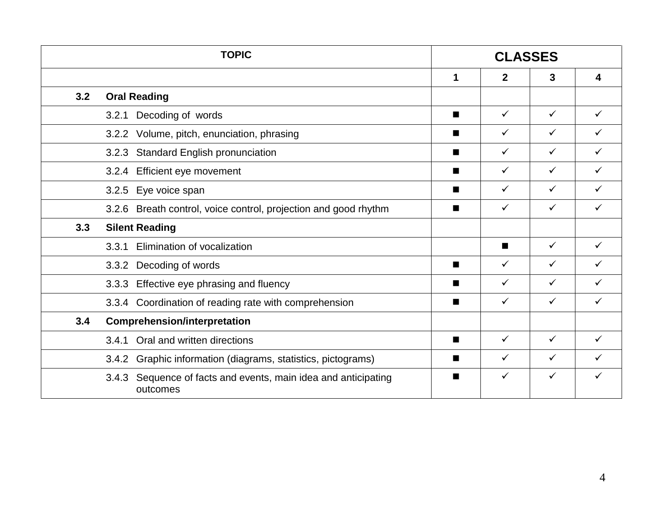|     | <b>TOPIC</b>                                                               |                | <b>CLASSES</b> |              |   |
|-----|----------------------------------------------------------------------------|----------------|----------------|--------------|---|
|     |                                                                            | 1              | $\mathbf{2}$   | 3            | 4 |
| 3.2 | <b>Oral Reading</b>                                                        |                |                |              |   |
|     | Decoding of words<br>3.2.1                                                 | $\blacksquare$ | $\checkmark$   | $\checkmark$ | ✓ |
|     | Volume, pitch, enunciation, phrasing<br>3.2.2                              | ш              | $\checkmark$   | $\checkmark$ | ✓ |
|     | <b>Standard English pronunciation</b><br>3.2.3                             | $\blacksquare$ | $\checkmark$   | $\checkmark$ | ✓ |
|     | Efficient eye movement<br>3.2.4                                            |                | $\checkmark$   | $\checkmark$ | ✓ |
|     | Eye voice span<br>3.2.5                                                    |                | $\checkmark$   | ✓            | ✓ |
|     | 3.2.6 Breath control, voice control, projection and good rhythm            |                | $\checkmark$   | ✓            | ✓ |
| 3.3 | <b>Silent Reading</b>                                                      |                |                |              |   |
|     | Elimination of vocalization<br>3.3.1                                       |                | $\blacksquare$ | $\checkmark$ | ✓ |
|     | 3.3.2 Decoding of words                                                    |                | $\checkmark$   | ✓            |   |
|     | Effective eye phrasing and fluency<br>3.3.3                                |                | $\checkmark$   | ✓            |   |
|     | 3.3.4 Coordination of reading rate with comprehension                      | ш              | $\checkmark$   | ✓            |   |
| 3.4 | <b>Comprehension/interpretation</b>                                        |                |                |              |   |
|     | Oral and written directions<br>3.4.1                                       | $\blacksquare$ | $\checkmark$   | $\checkmark$ | ✓ |
|     | Graphic information (diagrams, statistics, pictograms)<br>3.4.2            | ш              | $\checkmark$   | $\checkmark$ |   |
|     | 3.4.3 Sequence of facts and events, main idea and anticipating<br>outcomes | ш              | $\checkmark$   | $\checkmark$ | ✓ |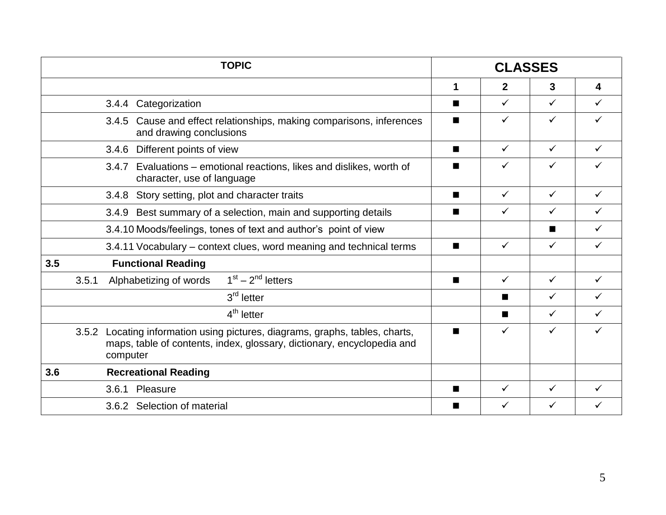|                   | <b>TOPIC</b>                                                                                                                                     |                | <b>CLASSES</b> |              |              |  |
|-------------------|--------------------------------------------------------------------------------------------------------------------------------------------------|----------------|----------------|--------------|--------------|--|
|                   |                                                                                                                                                  | 1              | $\mathbf{2}$   | 3            | 4            |  |
| 3.4.4             | Categorization                                                                                                                                   | $\blacksquare$ | $\checkmark$   | $\checkmark$ | $\checkmark$ |  |
|                   | 3.4.5 Cause and effect relationships, making comparisons, inferences<br>and drawing conclusions                                                  | $\blacksquare$ | ✓              | $\checkmark$ | ✓            |  |
|                   | 3.4.6 Different points of view                                                                                                                   | ■              | ✓              | $\checkmark$ |              |  |
|                   | 3.4.7 Evaluations – emotional reactions, likes and dislikes, worth of<br>character, use of language                                              |                | ✓              | $\checkmark$ |              |  |
| 3.4.8             | Story setting, plot and character traits                                                                                                         | ■              | $\checkmark$   | $\checkmark$ | $\checkmark$ |  |
| 3.4.9             | Best summary of a selection, main and supporting details                                                                                         | ■              | ✓              | $\checkmark$ | ✓            |  |
|                   | 3.4.10 Moods/feelings, tones of text and author's point of view                                                                                  |                |                | ш            | $\checkmark$ |  |
|                   | 3.4.11 Vocabulary – context clues, word meaning and technical terms                                                                              | ■              | $\checkmark$   | $\checkmark$ | $\checkmark$ |  |
| 3.5               | <b>Functional Reading</b>                                                                                                                        |                |                |              |              |  |
| 3.5.1             | $1st - 2nd$ letters<br>Alphabetizing of words                                                                                                    | ■              | $\checkmark$   | $\checkmark$ | $\checkmark$ |  |
|                   | $3rd$ letter                                                                                                                                     |                | ш              | $\checkmark$ | ✓            |  |
|                   | $4th$ letter                                                                                                                                     |                | $\blacksquare$ | $\checkmark$ | $\checkmark$ |  |
| 3.5.2<br>computer | Locating information using pictures, diagrams, graphs, tables, charts,<br>maps, table of contents, index, glossary, dictionary, encyclopedia and | ■              | ✓              | ✓            |              |  |
| 3.6               | <b>Recreational Reading</b>                                                                                                                      |                |                |              |              |  |
| 3.6.1 Pleasure    |                                                                                                                                                  |                |                |              |              |  |
|                   | 3.6.2 Selection of material                                                                                                                      |                | ✓              | ✓            |              |  |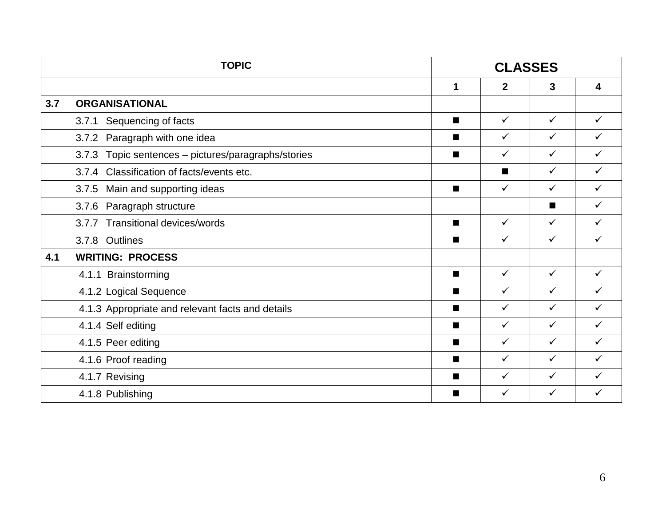|     | <b>TOPIC</b>                                           |                | <b>CLASSES</b> |                |              |
|-----|--------------------------------------------------------|----------------|----------------|----------------|--------------|
|     |                                                        | 1              | $\overline{2}$ | 3              | 4            |
| 3.7 | <b>ORGANISATIONAL</b>                                  |                |                |                |              |
|     | Sequencing of facts<br>3.7.1                           | п              | $\checkmark$   | $\checkmark$   | $\checkmark$ |
|     | 3.7.2 Paragraph with one idea                          | ■              | ✓              | $\checkmark$   | $\checkmark$ |
|     | Topic sentences - pictures/paragraphs/stories<br>3.7.3 | п              | $\checkmark$   | $\checkmark$   | $\checkmark$ |
|     | 3.7.4 Classification of facts/events etc.              |                | П              | $\checkmark$   | $\checkmark$ |
|     | 3.7.5 Main and supporting ideas                        | п              | $\checkmark$   | $\checkmark$   | $\checkmark$ |
|     | 3.7.6 Paragraph structure                              |                |                | $\blacksquare$ | $\checkmark$ |
|     | 3.7.7 Transitional devices/words                       | $\blacksquare$ | $\checkmark$   | $\checkmark$   | $\checkmark$ |
|     | 3.7.8 Outlines                                         | п              | $\checkmark$   | $\checkmark$   | $\checkmark$ |
| 4.1 | <b>WRITING: PROCESS</b>                                |                |                |                |              |
|     | 4.1.1 Brainstorming                                    | $\blacksquare$ | $\checkmark$   | $\checkmark$   | $\checkmark$ |
|     | 4.1.2 Logical Sequence                                 | $\blacksquare$ | $\checkmark$   | $\checkmark$   | $\checkmark$ |
|     | 4.1.3 Appropriate and relevant facts and details       | $\blacksquare$ | $\checkmark$   | $\checkmark$   | $\checkmark$ |
|     | 4.1.4 Self editing                                     | $\blacksquare$ | $\checkmark$   | $\checkmark$   | $\checkmark$ |
|     | 4.1.5 Peer editing                                     | п              | ✓              | $\checkmark$   | $\checkmark$ |
|     | 4.1.6 Proof reading                                    | $\blacksquare$ | $\checkmark$   | $\checkmark$   | $\checkmark$ |
|     | 4.1.7 Revising                                         | ■              | $\checkmark$   | $\checkmark$   | $\checkmark$ |
|     | 4.1.8 Publishing                                       | $\blacksquare$ | $\checkmark$   | $\checkmark$   | ✓            |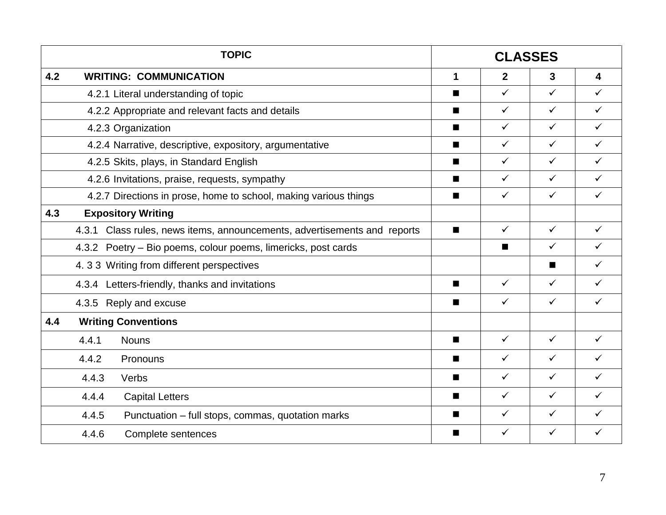|     | <b>TOPIC</b>                                                             |                |                | <b>CLASSES</b> |              |
|-----|--------------------------------------------------------------------------|----------------|----------------|----------------|--------------|
| 4.2 | <b>WRITING: COMMUNICATION</b>                                            | 1              | $\mathbf{2}$   | $\mathbf{3}$   | 4            |
|     | 4.2.1 Literal understanding of topic                                     |                | $\checkmark$   | $\checkmark$   | $\checkmark$ |
|     | 4.2.2 Appropriate and relevant facts and details                         | $\blacksquare$ | $\checkmark$   | $\checkmark$   | $\checkmark$ |
|     | 4.2.3 Organization                                                       | ■              | $\checkmark$   | $\checkmark$   | ✓            |
|     | 4.2.4 Narrative, descriptive, expository, argumentative                  | $\blacksquare$ | $\checkmark$   | $\checkmark$   | $\checkmark$ |
|     | 4.2.5 Skits, plays, in Standard English                                  | п              | $\checkmark$   | $\checkmark$   | $\checkmark$ |
|     | 4.2.6 Invitations, praise, requests, sympathy                            |                | $\checkmark$   | $\checkmark$   | $\checkmark$ |
|     | 4.2.7 Directions in prose, home to school, making various things         | п              | $\checkmark$   | $\checkmark$   | $\checkmark$ |
| 4.3 | <b>Expository Writing</b>                                                |                |                |                |              |
|     | 4.3.1 Class rules, news items, announcements, advertisements and reports | $\blacksquare$ | $\checkmark$   | $\checkmark$   | $\checkmark$ |
|     | 4.3.2 Poetry – Bio poems, colour poems, limericks, post cards            |                | $\blacksquare$ | $\checkmark$   | $\checkmark$ |
|     | 4.33 Writing from different perspectives                                 |                |                | $\blacksquare$ | $\checkmark$ |
|     | 4.3.4 Letters-friendly, thanks and invitations                           | $\blacksquare$ | $\checkmark$   | $\checkmark$   | $\checkmark$ |
|     | 4.3.5 Reply and excuse                                                   | п              | $\checkmark$   | $\checkmark$   | $\checkmark$ |
| 4.4 | <b>Writing Conventions</b>                                               |                |                |                |              |
|     | 4.4.1<br><b>Nouns</b>                                                    | п              | $\checkmark$   | $\checkmark$   | $\checkmark$ |
|     | 4.4.2<br>Pronouns                                                        | $\blacksquare$ | $\checkmark$   | $\checkmark$   | $\checkmark$ |
|     | 4.4.3<br>Verbs                                                           | $\blacksquare$ | $\checkmark$   | $\checkmark$   | $\checkmark$ |
|     | 4.4.4<br><b>Capital Letters</b>                                          | $\blacksquare$ | $\checkmark$   | $\checkmark$   | $\checkmark$ |
|     | 4.4.5<br>Punctuation – full stops, commas, quotation marks               | ■              | $\checkmark$   | $\checkmark$   | $\checkmark$ |
|     | 4.4.6<br>Complete sentences                                              | ■              | $\checkmark$   | $\checkmark$   | $\checkmark$ |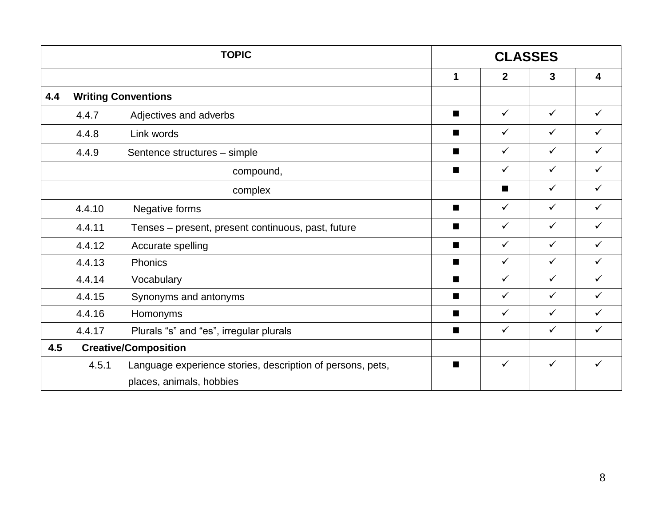|     |        | <b>TOPIC</b>                                               |                | <b>CLASSES</b> |              |                         |
|-----|--------|------------------------------------------------------------|----------------|----------------|--------------|-------------------------|
|     |        |                                                            | 1              | $\overline{2}$ | $\mathbf{3}$ | $\overline{\mathbf{4}}$ |
| 4.4 |        | <b>Writing Conventions</b>                                 |                |                |              |                         |
|     | 4.4.7  | Adjectives and adverbs                                     | $\blacksquare$ | $\checkmark$   | $\checkmark$ | $\checkmark$            |
|     | 4.4.8  | Link words                                                 | ■              | $\checkmark$   | $\checkmark$ | $\checkmark$            |
|     | 4.4.9  | Sentence structures - simple                               | ■              | $\checkmark$   | $\checkmark$ | $\checkmark$            |
|     |        | compound,                                                  | $\blacksquare$ | $\checkmark$   | $\checkmark$ | $\checkmark$            |
|     |        | complex                                                    |                | $\blacksquare$ | $\checkmark$ | $\checkmark$            |
|     | 4.4.10 | Negative forms                                             | $\blacksquare$ | $\checkmark$   | $\checkmark$ | $\checkmark$            |
|     | 4.4.11 | Tenses – present, present continuous, past, future         | ■              | $\checkmark$   | $\checkmark$ | $\checkmark$            |
|     | 4.4.12 | Accurate spelling                                          | $\blacksquare$ | $\checkmark$   | $\checkmark$ | $\checkmark$            |
|     | 4.4.13 | Phonics                                                    | ■              | $\checkmark$   | $\checkmark$ | $\checkmark$            |
|     | 4.4.14 | Vocabulary                                                 | $\blacksquare$ | $\checkmark$   | $\checkmark$ | $\checkmark$            |
|     | 4.4.15 | Synonyms and antonyms                                      | $\blacksquare$ | $\checkmark$   | $\checkmark$ | $\checkmark$            |
|     | 4.4.16 | Homonyms                                                   | $\blacksquare$ | $\checkmark$   | $\checkmark$ | $\checkmark$            |
|     | 4.4.17 | Plurals "s" and "es", irregular plurals                    | $\blacksquare$ | $\checkmark$   | $\checkmark$ | $\checkmark$            |
| 4.5 |        | <b>Creative/Composition</b>                                |                |                |              |                         |
|     | 4.5.1  | Language experience stories, description of persons, pets, | п              | $\checkmark$   | $\checkmark$ | $\checkmark$            |
|     |        | places, animals, hobbies                                   |                |                |              |                         |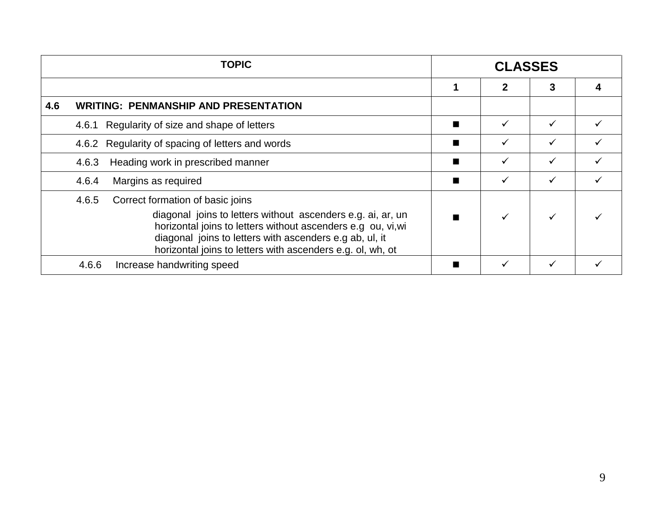|     | <b>TOPIC</b>                                                                                                                                                                                                                                                                                      |                | <b>CLASSES</b> |              |  |
|-----|---------------------------------------------------------------------------------------------------------------------------------------------------------------------------------------------------------------------------------------------------------------------------------------------------|----------------|----------------|--------------|--|
|     |                                                                                                                                                                                                                                                                                                   |                | 2              |              |  |
| 4.6 | <b>WRITING: PENMANSHIP AND PRESENTATION</b>                                                                                                                                                                                                                                                       |                |                |              |  |
|     | Regularity of size and shape of letters<br>4.6.1                                                                                                                                                                                                                                                  |                |                |              |  |
|     | 4.6.2 Regularity of spacing of letters and words                                                                                                                                                                                                                                                  |                |                |              |  |
|     | Heading work in prescribed manner<br>4.6.3                                                                                                                                                                                                                                                        |                | ✓              | $\checkmark$ |  |
|     | 4.6.4<br>Margins as required                                                                                                                                                                                                                                                                      | $\blacksquare$ | ✓              | ✓            |  |
|     | Correct formation of basic joins<br>4.6.5<br>diagonal joins to letters without ascenders e.g. ai, ar, un<br>horizontal joins to letters without ascenders e.g ou, vi, wi<br>diagonal joins to letters with ascenders e.g ab, ul, it<br>horizontal joins to letters with ascenders e.g. ol, wh, ot |                |                |              |  |
|     | 4.6.6<br>Increase handwriting speed                                                                                                                                                                                                                                                               |                |                |              |  |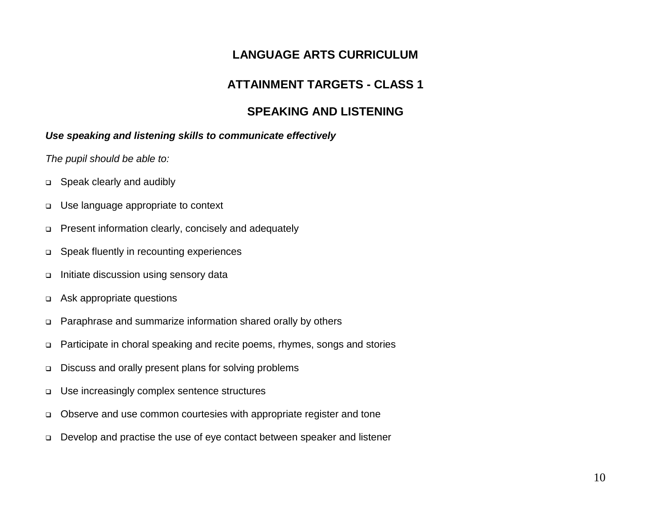## **LANGUAGE ARTS CURRICULUM**

## **ATTAINMENT TARGETS - CLASS 1**

## **SPEAKING AND LISTENING**

#### *Use speaking and listening skills to communicate effectively*

- □ Speak clearly and audibly
- Use language appropriate to context
- Present information clearly, concisely and adequately
- Speak fluently in recounting experiences
- $\Box$  Initiate discussion using sensory data
- Ask appropriate questions
- Paraphrase and summarize information shared orally by others
- Participate in choral speaking and recite poems, rhymes, songs and stories
- Discuss and orally present plans for solving problems
- Use increasingly complex sentence structures
- Observe and use common courtesies with appropriate register and tone
- Develop and practise the use of eye contact between speaker and listener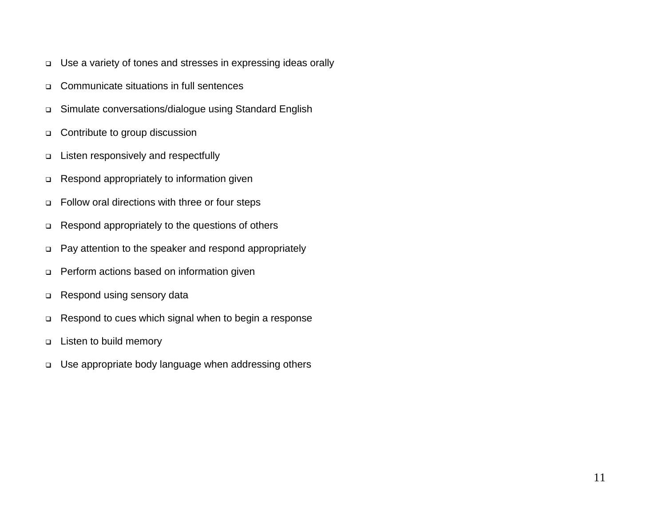- Use a variety of tones and stresses in expressing ideas orally
- Communicate situations in full sentences
- Simulate conversations/dialogue using Standard English
- □ Contribute to group discussion
- □ Listen responsively and respectfully
- Respond appropriately to information given
- Follow oral directions with three or four steps
- Respond appropriately to the questions of others
- Pay attention to the speaker and respond appropriately
- Perform actions based on information given
- □ Respond using sensory data
- □ Respond to cues which signal when to begin a response
- Listen to build memory
- Use appropriate body language when addressing others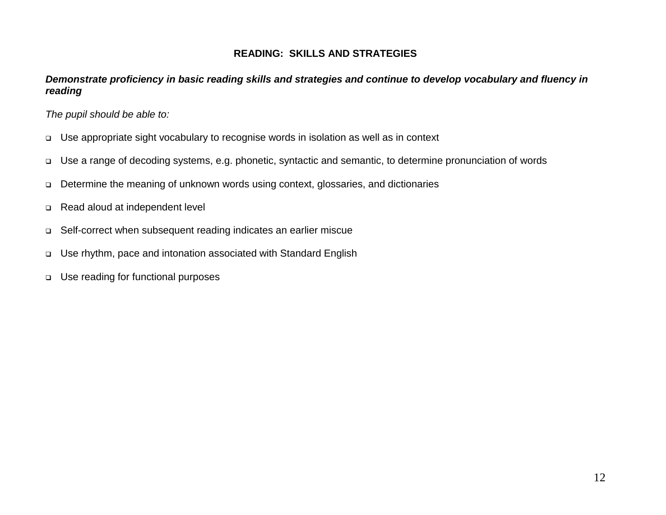#### **READING: SKILLS AND STRATEGIES**

#### *Demonstrate proficiency in basic reading skills and strategies and continue to develop vocabulary and fluency in reading*

- Use appropriate sight vocabulary to recognise words in isolation as well as in context
- Use a range of decoding systems, e.g. phonetic, syntactic and semantic, to determine pronunciation of words
- Determine the meaning of unknown words using context, glossaries, and dictionaries
- Read aloud at independent level
- Self-correct when subsequent reading indicates an earlier miscue
- Use rhythm, pace and intonation associated with Standard English
- □ Use reading for functional purposes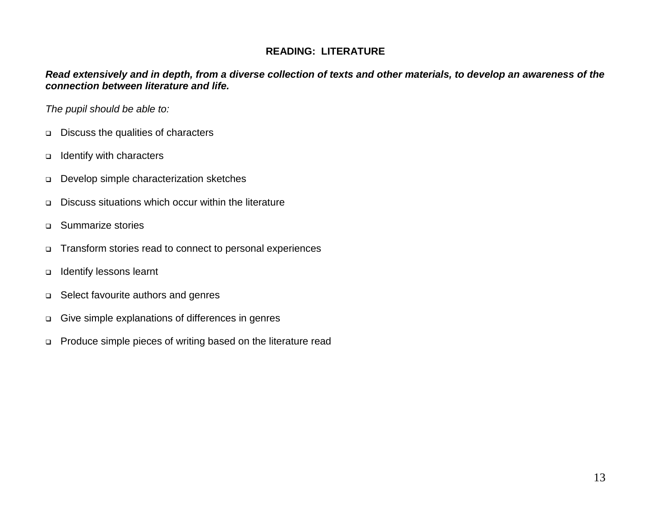#### **READING: LITERATURE**

*Read extensively and in depth, from a diverse collection of texts and other materials, to develop an awareness of the connection between literature and life.*

- □ Discuss the qualities of characters
- Identify with characters
- Develop simple characterization sketches
- Discuss situations which occur within the literature
- Summarize stories
- Transform stories read to connect to personal experiences
- Identify lessons learnt
- □ Select favourite authors and genres
- Give simple explanations of differences in genres
- Produce simple pieces of writing based on the literature read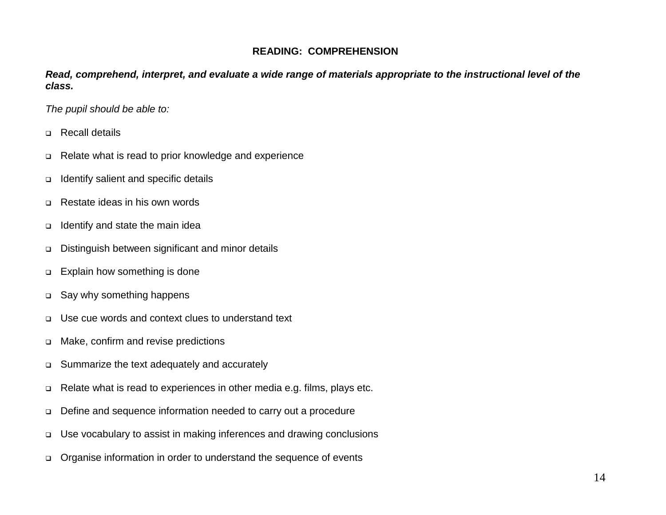#### **READING: COMPREHENSION**

*Read, comprehend, interpret, and evaluate a wide range of materials appropriate to the instructional level of the class.*

- □ Recall details
- Relate what is read to prior knowledge and experience
- □ Identify salient and specific details
- □ Restate ideas in his own words
- Identify and state the main idea
- Distinguish between significant and minor details
- □ Explain how something is done
- □ Say why something happens
- Use cue words and context clues to understand text
- Make, confirm and revise predictions
- □ Summarize the text adequately and accurately
- □ Relate what is read to experiences in other media e.g. films, plays etc.
- Define and sequence information needed to carry out a procedure
- □ Use vocabulary to assist in making inferences and drawing conclusions
- Organise information in order to understand the sequence of events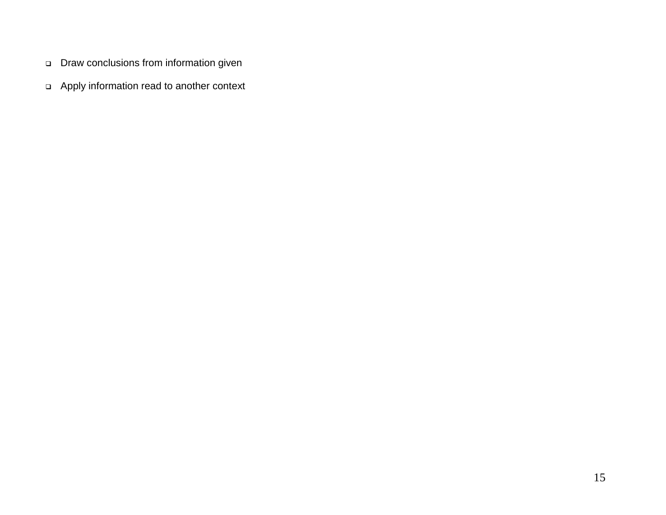- Draw conclusions from information given
- Apply information read to another context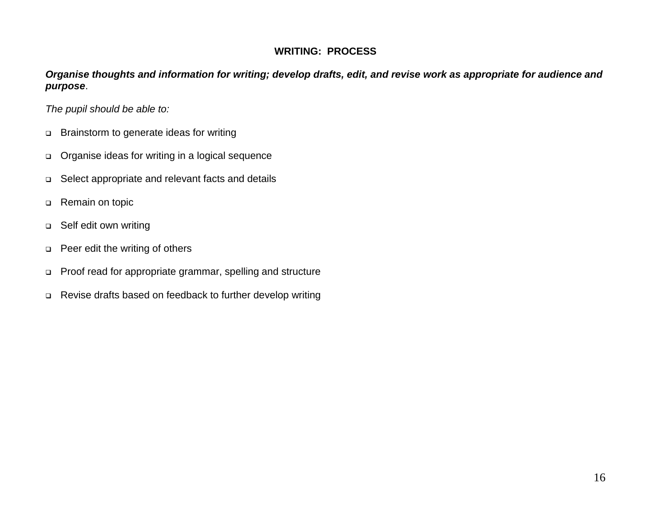#### **WRITING: PROCESS**

*Organise thoughts and information for writing; develop drafts, edit, and revise work as appropriate for audience and purpose*.

- □ Brainstorm to generate ideas for writing
- Organise ideas for writing in a logical sequence
- □ Select appropriate and relevant facts and details
- □ Remain on topic
- □ Self edit own writing
- **Peer edit the writing of others**
- Proof read for appropriate grammar, spelling and structure
- Revise drafts based on feedback to further develop writing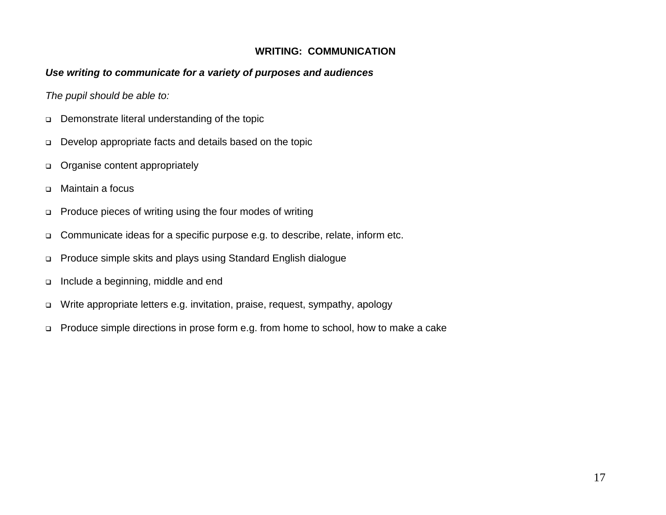#### **WRITING: COMMUNICATION**

#### *Use writing to communicate for a variety of purposes and audiences*

- Demonstrate literal understanding of the topic
- Develop appropriate facts and details based on the topic
- Organise content appropriately
- Maintain a focus
- Produce pieces of writing using the four modes of writing
- □ Communicate ideas for a specific purpose e.g. to describe, relate, inform etc.
- Produce simple skits and plays using Standard English dialogue
- Include a beginning, middle and end
- Write appropriate letters e.g. invitation, praise, request, sympathy, apology
- □ Produce simple directions in prose form e.g. from home to school, how to make a cake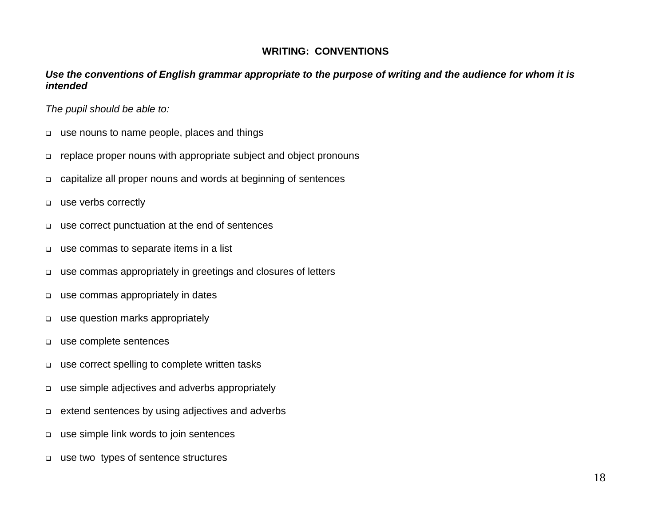#### **WRITING: CONVENTIONS**

#### *Use the conventions of English grammar appropriate to the purpose of writing and the audience for whom it is intended*

- use nouns to name people, places and things
- replace proper nouns with appropriate subject and object pronouns
- capitalize all proper nouns and words at beginning of sentences
- use verbs correctly
- use correct punctuation at the end of sentences
- use commas to separate items in a list
- use commas appropriately in greetings and closures of letters
- use commas appropriately in dates
- use question marks appropriately
- use complete sentences
- use correct spelling to complete written tasks
- use simple adjectives and adverbs appropriately
- extend sentences by using adjectives and adverbs
- use simple link words to join sentences
- use two types of sentence structures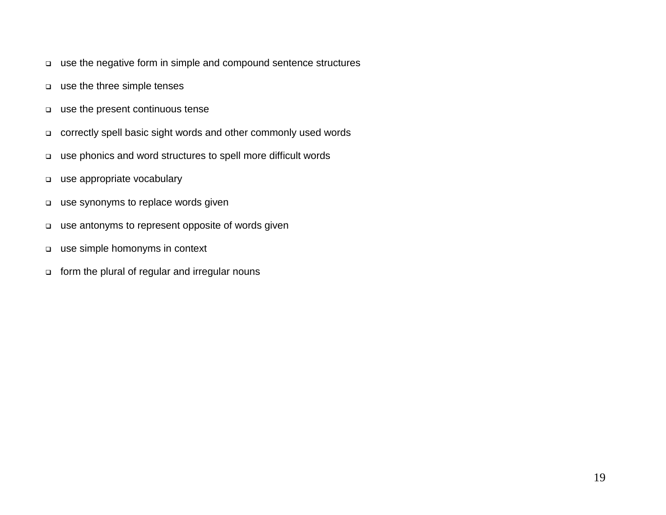- use the negative form in simple and compound sentence structures
- use the three simple tenses
- use the present continuous tense
- correctly spell basic sight words and other commonly used words
- use phonics and word structures to spell more difficult words
- use appropriate vocabulary
- use synonyms to replace words given
- use antonyms to represent opposite of words given
- use simple homonyms in context
- form the plural of regular and irregular nouns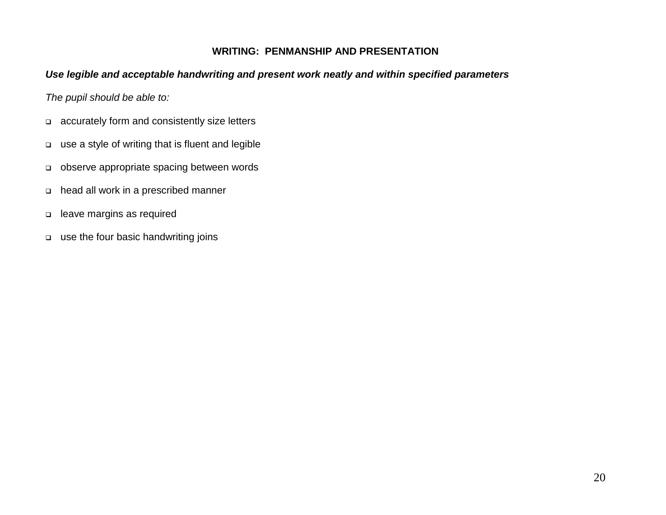#### **WRITING: PENMANSHIP AND PRESENTATION**

#### *Use legible and acceptable handwriting and present work neatly and within specified parameters*

- accurately form and consistently size letters
- use a style of writing that is fluent and legible
- observe appropriate spacing between words
- head all work in a prescribed manner
- leave margins as required
- use the four basic handwriting joins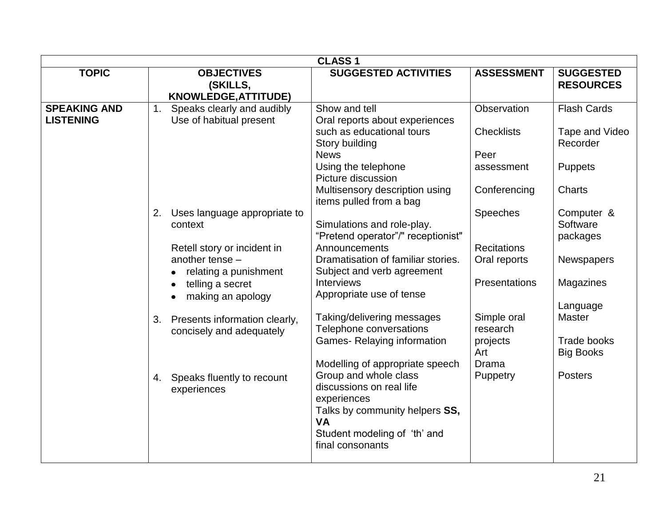|                                         | <b>CLASS1</b>                                                             |                                                                                                                                                    |                                            |                                                              |  |  |
|-----------------------------------------|---------------------------------------------------------------------------|----------------------------------------------------------------------------------------------------------------------------------------------------|--------------------------------------------|--------------------------------------------------------------|--|--|
| <b>TOPIC</b>                            | <b>OBJECTIVES</b><br>(SKILLS,<br><b>KNOWLEDGE, ATTITUDE)</b>              | <b>SUGGESTED ACTIVITIES</b>                                                                                                                        | <b>ASSESSMENT</b>                          | <b>SUGGESTED</b><br><b>RESOURCES</b>                         |  |  |
| <b>SPEAKING AND</b><br><b>LISTENING</b> | Speaks clearly and audibly<br>1 <sub>1</sub><br>Use of habitual present   | Show and tell<br>Oral reports about experiences                                                                                                    | Observation                                | <b>Flash Cards</b>                                           |  |  |
|                                         |                                                                           | such as educational tours<br>Story building<br><b>News</b>                                                                                         | <b>Checklists</b><br>Peer                  | Tape and Video<br>Recorder                                   |  |  |
|                                         |                                                                           | Using the telephone<br>Picture discussion                                                                                                          | assessment                                 | <b>Puppets</b>                                               |  |  |
|                                         |                                                                           | Multisensory description using<br>items pulled from a bag                                                                                          | Conferencing                               | <b>Charts</b>                                                |  |  |
|                                         | 2.<br>Uses language appropriate to<br>context                             | Simulations and role-play.<br>"Pretend operator"/" receptionist"                                                                                   | <b>Speeches</b>                            | Computer &<br>Software<br>packages                           |  |  |
|                                         | Retell story or incident in<br>another tense $-$<br>relating a punishment | Announcements<br>Dramatisation of familiar stories.<br>Subject and verb agreement                                                                  | <b>Recitations</b><br>Oral reports         | Newspapers                                                   |  |  |
|                                         | telling a secret<br>making an apology<br>$\bullet$                        | <b>Interviews</b><br>Appropriate use of tense                                                                                                      | <b>Presentations</b>                       | <b>Magazines</b>                                             |  |  |
|                                         | Presents information clearly,<br>3.<br>concisely and adequately           | Taking/delivering messages<br>Telephone conversations<br><b>Games-Relaying information</b>                                                         | Simple oral<br>research<br>projects<br>Art | Language<br><b>Master</b><br>Trade books<br><b>Big Books</b> |  |  |
|                                         | Speaks fluently to recount<br>4.<br>experiences                           | Modelling of appropriate speech<br>Group and whole class<br>discussions on real life<br>experiences<br>Talks by community helpers SS,<br><b>VA</b> | Drama<br>Puppetry                          | <b>Posters</b>                                               |  |  |
|                                         |                                                                           | Student modeling of 'th' and<br>final consonants                                                                                                   |                                            |                                                              |  |  |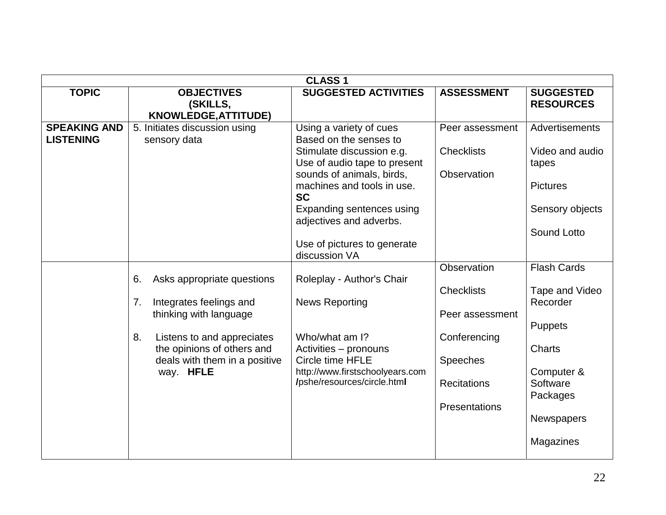|                                         |                                                                                                                                                                                                             | <b>CLASS1</b>                                                                                                                                                                                                                                                                                  |                                                                                                                               |                                                                                                                                                             |
|-----------------------------------------|-------------------------------------------------------------------------------------------------------------------------------------------------------------------------------------------------------------|------------------------------------------------------------------------------------------------------------------------------------------------------------------------------------------------------------------------------------------------------------------------------------------------|-------------------------------------------------------------------------------------------------------------------------------|-------------------------------------------------------------------------------------------------------------------------------------------------------------|
| <b>TOPIC</b>                            | <b>OBJECTIVES</b><br>(SKILLS,<br>KNOWLEDGE, ATTITUDE)                                                                                                                                                       | <b>SUGGESTED ACTIVITIES</b>                                                                                                                                                                                                                                                                    | <b>ASSESSMENT</b>                                                                                                             | <b>SUGGESTED</b><br><b>RESOURCES</b>                                                                                                                        |
| <b>SPEAKING AND</b><br><b>LISTENING</b> | 5. Initiates discussion using<br>sensory data                                                                                                                                                               | Using a variety of cues<br>Based on the senses to<br>Stimulate discussion e.g.<br>Use of audio tape to present<br>sounds of animals, birds,<br>machines and tools in use.<br><b>SC</b><br>Expanding sentences using<br>adjectives and adverbs.<br>Use of pictures to generate<br>discussion VA | Peer assessment<br><b>Checklists</b><br>Observation                                                                           | <b>Advertisements</b><br>Video and audio<br>tapes<br><b>Pictures</b><br>Sensory objects<br>Sound Lotto                                                      |
|                                         | Asks appropriate questions<br>6.<br>7.<br>Integrates feelings and<br>thinking with language<br>8.<br>Listens to and appreciates<br>the opinions of others and<br>deals with them in a positive<br>way. HFLE | Roleplay - Author's Chair<br><b>News Reporting</b><br>Who/what am I?<br>Activities - pronouns<br>Circle time HFLE<br>http://www.firstschoolyears.com<br>/pshe/resources/circle.html                                                                                                            | Observation<br><b>Checklists</b><br>Peer assessment<br>Conferencing<br><b>Speeches</b><br><b>Recitations</b><br>Presentations | <b>Flash Cards</b><br>Tape and Video<br>Recorder<br><b>Puppets</b><br><b>Charts</b><br>Computer &<br>Software<br>Packages<br><b>Newspapers</b><br>Magazines |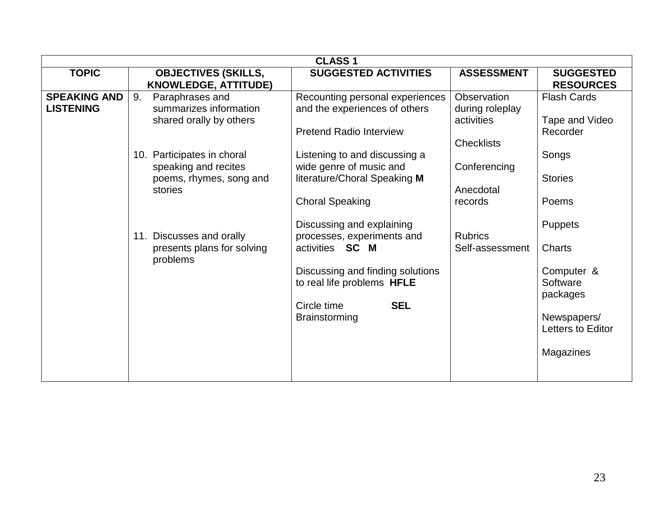|                     | <b>CLASS 1</b>              |                                                                |                   |                        |  |  |  |
|---------------------|-----------------------------|----------------------------------------------------------------|-------------------|------------------------|--|--|--|
| <b>TOPIC</b>        | <b>OBJECTIVES (SKILLS,</b>  | <b>SUGGESTED ACTIVITIES</b>                                    | <b>ASSESSMENT</b> | <b>SUGGESTED</b>       |  |  |  |
|                     | <b>KNOWLEDGE, ATTITUDE)</b> |                                                                |                   | <b>RESOURCES</b>       |  |  |  |
| <b>SPEAKING AND</b> | 9.<br>Paraphrases and       | Recounting personal experiences                                | Observation       | <b>Flash Cards</b>     |  |  |  |
| <b>LISTENING</b>    | summarizes information      | and the experiences of others                                  | during roleplay   |                        |  |  |  |
|                     | shared orally by others     |                                                                | activities        | Tape and Video         |  |  |  |
|                     |                             | <b>Pretend Radio Interview</b>                                 |                   | Recorder               |  |  |  |
|                     |                             |                                                                | <b>Checklists</b> |                        |  |  |  |
|                     | 10. Participates in choral  | Listening to and discussing a                                  |                   | Songs                  |  |  |  |
|                     | speaking and recites        | wide genre of music and                                        | Conferencing      |                        |  |  |  |
|                     | poems, rhymes, song and     | literature/Choral Speaking M                                   |                   | <b>Stories</b>         |  |  |  |
|                     | stories                     |                                                                | Anecdotal         |                        |  |  |  |
|                     |                             | <b>Choral Speaking</b>                                         | records           | Poems                  |  |  |  |
|                     |                             |                                                                |                   |                        |  |  |  |
|                     |                             | Discussing and explaining                                      |                   | <b>Puppets</b>         |  |  |  |
|                     | 11. Discusses and orally    | processes, experiments and<br>activities <b>SC M</b>           | <b>Rubrics</b>    | <b>Charts</b>          |  |  |  |
|                     | presents plans for solving  |                                                                | Self-assessment   |                        |  |  |  |
|                     | problems                    |                                                                |                   |                        |  |  |  |
|                     |                             | Discussing and finding solutions<br>to real life problems HFLE |                   | Computer &<br>Software |  |  |  |
|                     |                             |                                                                |                   | packages               |  |  |  |
|                     |                             | <b>SEL</b><br>Circle time                                      |                   |                        |  |  |  |
|                     |                             | Brainstorming                                                  |                   | Newspapers/            |  |  |  |
|                     |                             |                                                                |                   | Letters to Editor      |  |  |  |
|                     |                             |                                                                |                   |                        |  |  |  |
|                     |                             |                                                                |                   | Magazines              |  |  |  |
|                     |                             |                                                                |                   |                        |  |  |  |
|                     |                             |                                                                |                   |                        |  |  |  |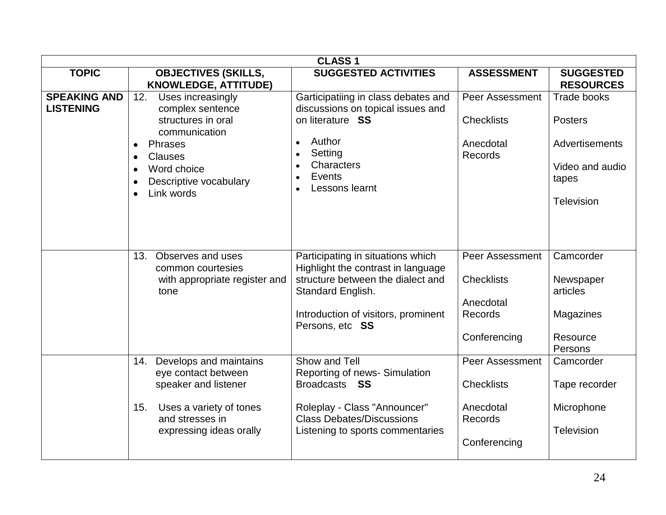|                                         |                                                                                                                                     | <b>CLASS1</b>                                                                                                                     |                                                  |                                                              |
|-----------------------------------------|-------------------------------------------------------------------------------------------------------------------------------------|-----------------------------------------------------------------------------------------------------------------------------------|--------------------------------------------------|--------------------------------------------------------------|
| <b>TOPIC</b>                            | <b>OBJECTIVES (SKILLS,</b><br><b>KNOWLEDGE, ATTITUDE)</b>                                                                           | <b>SUGGESTED ACTIVITIES</b>                                                                                                       | <b>ASSESSMENT</b>                                | <b>SUGGESTED</b><br><b>RESOURCES</b>                         |
| <b>SPEAKING AND</b><br><b>LISTENING</b> | 12.<br>Uses increasingly<br>complex sentence                                                                                        | Garticipatiing in class debates and<br>discussions on topical issues and                                                          | <b>Peer Assessment</b>                           | <b>Trade books</b>                                           |
|                                         | structures in oral<br>communication<br>Phrases<br>$\bullet$<br><b>Clauses</b><br>Word choice<br>Descriptive vocabulary<br>$\bullet$ | on literature SS<br>Author<br>Setting<br>Characters<br>Events<br>Lessons learnt                                                   | <b>Checklists</b><br>Anecdotal<br><b>Records</b> | <b>Posters</b><br>Advertisements<br>Video and audio<br>tapes |
|                                         | Link words<br>$\bullet$                                                                                                             |                                                                                                                                   |                                                  | Television                                                   |
|                                         | Observes and uses<br>13.<br>common courtesies<br>with appropriate register and<br>tone                                              | Participating in situations which<br>Highlight the contrast in language<br>structure between the dialect and<br>Standard English. | <b>Peer Assessment</b><br><b>Checklists</b>      | Camcorder<br>Newspaper<br>articles                           |
|                                         |                                                                                                                                     | Introduction of visitors, prominent<br>Persons, etc SS                                                                            | Anecdotal<br>Records<br>Conferencing             | Magazines<br>Resource                                        |
|                                         |                                                                                                                                     |                                                                                                                                   |                                                  | Persons                                                      |
|                                         | Develops and maintains<br>14.<br>eye contact between                                                                                | Show and Tell<br>Reporting of news- Simulation                                                                                    | Peer Assessment                                  | Camcorder                                                    |
|                                         | speaker and listener                                                                                                                | Broadcasts SS                                                                                                                     | <b>Checklists</b>                                | Tape recorder                                                |
|                                         | Uses a variety of tones<br>15.<br>and stresses in                                                                                   | Roleplay - Class "Announcer"<br><b>Class Debates/Discussions</b>                                                                  | Anecdotal<br>Records                             | Microphone                                                   |
|                                         | expressing ideas orally                                                                                                             | Listening to sports commentaries                                                                                                  | Conferencing                                     | <b>Television</b>                                            |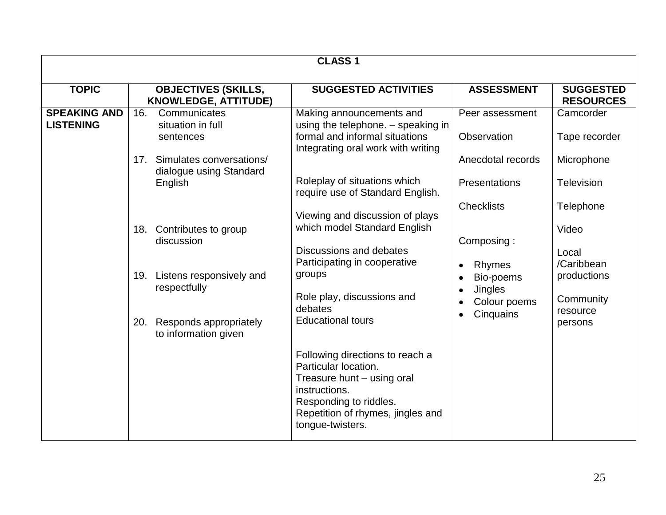| <b>CLASS1</b>                           |                                                                                                                                                       |                                                                                                                                                                                                           |                                                                                                |                                                                                              |  |
|-----------------------------------------|-------------------------------------------------------------------------------------------------------------------------------------------------------|-----------------------------------------------------------------------------------------------------------------------------------------------------------------------------------------------------------|------------------------------------------------------------------------------------------------|----------------------------------------------------------------------------------------------|--|
| <b>TOPIC</b>                            | <b>OBJECTIVES (SKILLS,</b><br><b>KNOWLEDGE, ATTITUDE)</b>                                                                                             | <b>SUGGESTED ACTIVITIES</b>                                                                                                                                                                               | <b>ASSESSMENT</b>                                                                              | <b>SUGGESTED</b><br><b>RESOURCES</b>                                                         |  |
| <b>SPEAKING AND</b><br><b>LISTENING</b> | 16.<br>Communicates<br>situation in full<br>sentences<br>Simulates conversations/<br>17.                                                              | Making announcements and<br>using the telephone. - speaking in<br>formal and informal situations<br>Integrating oral work with writing                                                                    | Peer assessment<br>Observation<br>Anecdotal records                                            | Camcorder<br>Tape recorder<br>Microphone                                                     |  |
|                                         | dialogue using Standard<br>English                                                                                                                    | Roleplay of situations which<br>require use of Standard English.                                                                                                                                          | <b>Presentations</b>                                                                           | <b>Television</b>                                                                            |  |
|                                         | Contributes to group<br>18.<br>discussion<br>Listens responsively and<br>19.<br>respectfully<br>Responds appropriately<br>20.<br>to information given | Viewing and discussion of plays<br>which model Standard English<br>Discussions and debates<br>Participating in cooperative<br>groups<br>Role play, discussions and<br>debates<br><b>Educational tours</b> | <b>Checklists</b><br>Composing:<br>Rhymes<br>Bio-poems<br>Jingles<br>Colour poems<br>Cinquains | Telephone<br>Video<br>Local<br>/Caribbean<br>productions<br>Community<br>resource<br>persons |  |
|                                         |                                                                                                                                                       | Following directions to reach a<br>Particular location.<br>Treasure hunt - using oral<br>instructions.<br>Responding to riddles.<br>Repetition of rhymes, jingles and<br>tongue-twisters.                 |                                                                                                |                                                                                              |  |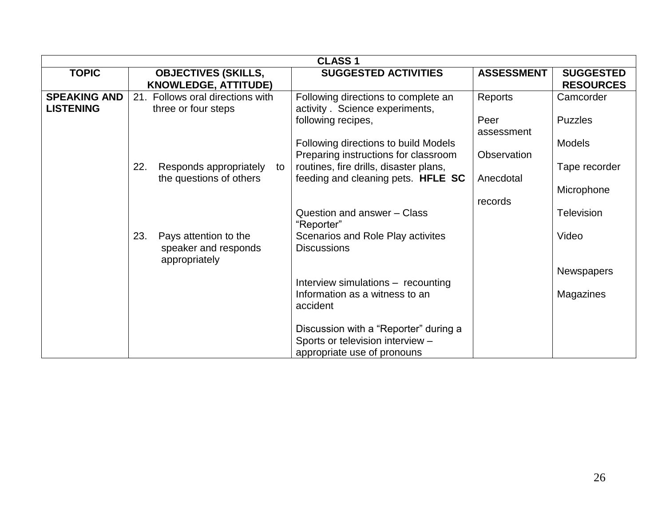|                                         |                                                                       | <b>CLASS1</b>                                                                                            |                    |                                      |  |  |  |
|-----------------------------------------|-----------------------------------------------------------------------|----------------------------------------------------------------------------------------------------------|--------------------|--------------------------------------|--|--|--|
| <b>TOPIC</b>                            | <b>OBJECTIVES (SKILLS,</b><br><b>KNOWLEDGE, ATTITUDE)</b>             | <b>SUGGESTED ACTIVITIES</b>                                                                              | <b>ASSESSMENT</b>  | <b>SUGGESTED</b><br><b>RESOURCES</b> |  |  |  |
| <b>SPEAKING AND</b><br><b>LISTENING</b> | 21. Follows oral directions with<br>three or four steps               | Following directions to complete an<br>activity. Science experiments,                                    | Reports            | Camcorder                            |  |  |  |
|                                         |                                                                       | following recipes,                                                                                       | Peer<br>assessment | <b>Puzzles</b>                       |  |  |  |
|                                         |                                                                       | Following directions to build Models<br>Preparing instructions for classroom                             | Observation        | <b>Models</b>                        |  |  |  |
|                                         | 22.<br>Responds appropriately<br>to<br>the questions of others        | routines, fire drills, disaster plans,<br>feeding and cleaning pets. HFLE SC                             | Anecdotal          | Tape recorder                        |  |  |  |
|                                         |                                                                       |                                                                                                          | records            | Microphone                           |  |  |  |
|                                         |                                                                       | Question and answer - Class<br>"Reporter"                                                                |                    | <b>Television</b>                    |  |  |  |
|                                         | 23.<br>Pays attention to the<br>speaker and responds<br>appropriately | Scenarios and Role Play activites<br><b>Discussions</b>                                                  |                    | Video                                |  |  |  |
|                                         |                                                                       | Interview simulations - recounting                                                                       |                    | <b>Newspapers</b>                    |  |  |  |
|                                         |                                                                       | Information as a witness to an<br>accident                                                               |                    | Magazines                            |  |  |  |
|                                         |                                                                       | Discussion with a "Reporter" during a<br>Sports or television interview -<br>appropriate use of pronouns |                    |                                      |  |  |  |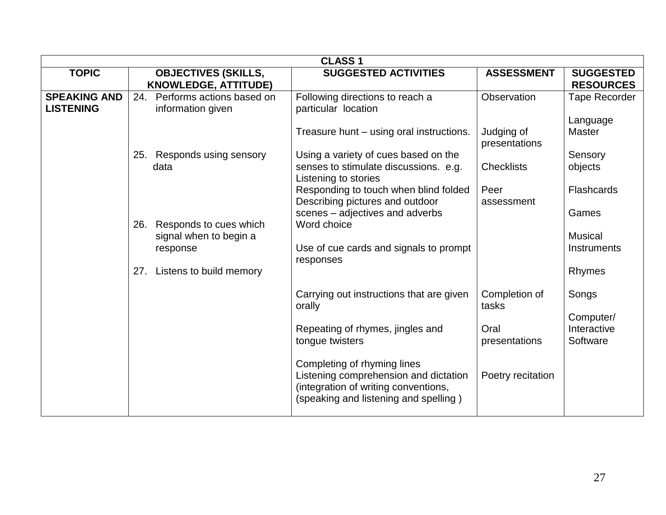|                                         | <b>CLASS1</b> |                                                           |                                                                                                                                                       |                             |                                      |  |  |
|-----------------------------------------|---------------|-----------------------------------------------------------|-------------------------------------------------------------------------------------------------------------------------------------------------------|-----------------------------|--------------------------------------|--|--|
| <b>TOPIC</b>                            |               | <b>OBJECTIVES (SKILLS,</b><br><b>KNOWLEDGE, ATTITUDE)</b> | <b>SUGGESTED ACTIVITIES</b>                                                                                                                           | <b>ASSESSMENT</b>           | <b>SUGGESTED</b><br><b>RESOURCES</b> |  |  |
| <b>SPEAKING AND</b><br><b>LISTENING</b> | 24.           | Performs actions based on<br>information given            | Following directions to reach a<br>particular location                                                                                                | Observation                 | <b>Tape Recorder</b><br>Language     |  |  |
|                                         |               |                                                           | Treasure hunt - using oral instructions.                                                                                                              | Judging of<br>presentations | <b>Master</b>                        |  |  |
|                                         |               | 25. Responds using sensory<br>data                        | Using a variety of cues based on the<br>senses to stimulate discussions. e.g.<br>Listening to stories                                                 | <b>Checklists</b>           | Sensory<br>objects                   |  |  |
|                                         |               |                                                           | Responding to touch when blind folded<br>Describing pictures and outdoor                                                                              | Peer<br>assessment          | <b>Flashcards</b>                    |  |  |
|                                         | 26.           | Responds to cues which<br>signal when to begin a          | scenes - adjectives and adverbs<br>Word choice                                                                                                        |                             | Games<br><b>Musical</b>              |  |  |
|                                         |               | response                                                  | Use of cue cards and signals to prompt<br>responses                                                                                                   |                             | Instruments                          |  |  |
|                                         | 27.           | Listens to build memory                                   |                                                                                                                                                       |                             | Rhymes                               |  |  |
|                                         |               |                                                           | Carrying out instructions that are given<br>orally                                                                                                    | Completion of<br>tasks      | Songs                                |  |  |
|                                         |               |                                                           | Repeating of rhymes, jingles and<br>tongue twisters                                                                                                   | Oral<br>presentations       | Computer/<br>Interactive<br>Software |  |  |
|                                         |               |                                                           | Completing of rhyming lines<br>Listening comprehension and dictation<br>(integration of writing conventions,<br>(speaking and listening and spelling) | Poetry recitation           |                                      |  |  |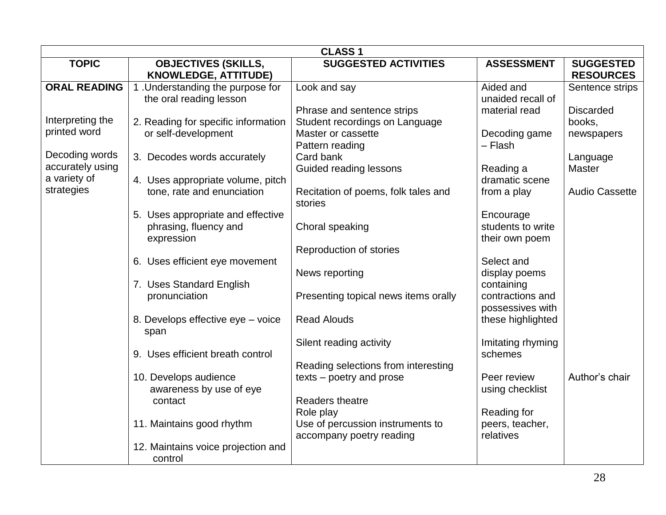|                     |                                     | <b>CLASS1</b>                        |                   |                       |
|---------------------|-------------------------------------|--------------------------------------|-------------------|-----------------------|
| <b>TOPIC</b>        | <b>OBJECTIVES (SKILLS,</b>          | <b>SUGGESTED ACTIVITIES</b>          | <b>ASSESSMENT</b> | <b>SUGGESTED</b>      |
|                     | <b>KNOWLEDGE, ATTITUDE)</b>         |                                      |                   | <b>RESOURCES</b>      |
| <b>ORAL READING</b> | 1. Understanding the purpose for    | Look and say                         | Aided and         | Sentence strips       |
|                     | the oral reading lesson             |                                      | unaided recall of |                       |
|                     |                                     | Phrase and sentence strips           | material read     | <b>Discarded</b>      |
| Interpreting the    | 2. Reading for specific information | Student recordings on Language       |                   | books,                |
| printed word        | or self-development                 | Master or cassette                   | Decoding game     | newspapers            |
|                     |                                     | Pattern reading                      | - Flash           |                       |
| Decoding words      | 3. Decodes words accurately         | Card bank                            |                   | Language              |
| accurately using    |                                     | Guided reading lessons               | Reading a         | <b>Master</b>         |
| a variety of        | 4. Uses appropriate volume, pitch   |                                      | dramatic scene    |                       |
| strategies          | tone, rate and enunciation          | Recitation of poems, folk tales and  | from a play       | <b>Audio Cassette</b> |
|                     |                                     | stories                              |                   |                       |
|                     | 5. Uses appropriate and effective   |                                      | Encourage         |                       |
|                     | phrasing, fluency and               | Choral speaking                      | students to write |                       |
|                     | expression                          |                                      | their own poem    |                       |
|                     |                                     | Reproduction of stories              |                   |                       |
|                     | 6. Uses efficient eye movement      |                                      | Select and        |                       |
|                     |                                     | News reporting                       | display poems     |                       |
|                     | 7. Uses Standard English            |                                      | containing        |                       |
|                     | pronunciation                       | Presenting topical news items orally | contractions and  |                       |
|                     |                                     |                                      | possessives with  |                       |
|                     | 8. Develops effective eye - voice   | <b>Read Alouds</b>                   | these highlighted |                       |
|                     | span                                |                                      |                   |                       |
|                     |                                     | Silent reading activity              | Imitating rhyming |                       |
|                     | 9. Uses efficient breath control    |                                      | schemes           |                       |
|                     |                                     | Reading selections from interesting  |                   |                       |
|                     | 10. Develops audience               | texts - poetry and prose             | Peer review       | Author's chair        |
|                     | awareness by use of eye             |                                      | using checklist   |                       |
|                     | contact                             | Readers theatre                      |                   |                       |
|                     |                                     | Role play                            | Reading for       |                       |
|                     | 11. Maintains good rhythm           | Use of percussion instruments to     | peers, teacher,   |                       |
|                     |                                     | accompany poetry reading             | relatives         |                       |
|                     | 12. Maintains voice projection and  |                                      |                   |                       |
|                     | control                             |                                      |                   |                       |
|                     |                                     |                                      |                   |                       |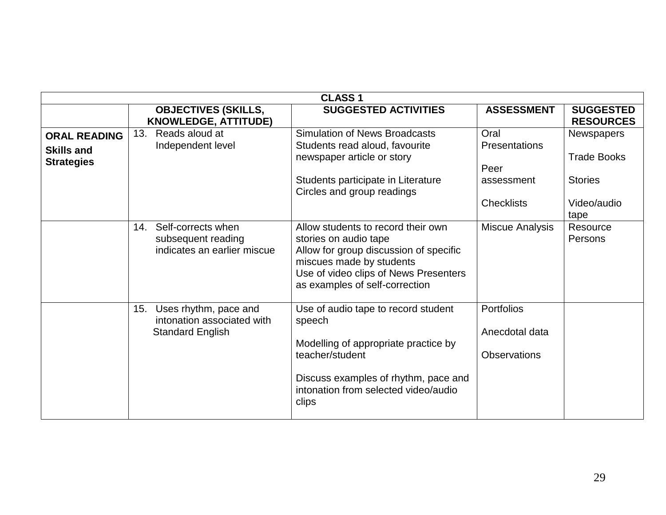|                                                               | <b>CLASS1</b>                                                                         |                                                                                                                                                                                                              |                                                                         |                                                                          |  |  |
|---------------------------------------------------------------|---------------------------------------------------------------------------------------|--------------------------------------------------------------------------------------------------------------------------------------------------------------------------------------------------------------|-------------------------------------------------------------------------|--------------------------------------------------------------------------|--|--|
|                                                               | <b>OBJECTIVES (SKILLS,</b><br><b>KNOWLEDGE, ATTITUDE)</b>                             | <b>SUGGESTED ACTIVITIES</b>                                                                                                                                                                                  | <b>ASSESSMENT</b>                                                       | <b>SUGGESTED</b><br><b>RESOURCES</b>                                     |  |  |
| <b>ORAL READING</b><br><b>Skills and</b><br><b>Strategies</b> | 13.<br>Reads aloud at<br>Independent level                                            | <b>Simulation of News Broadcasts</b><br>Students read aloud, favourite<br>newspaper article or story<br>Students participate in Literature<br>Circles and group readings                                     | Oral<br><b>Presentations</b><br>Peer<br>assessment<br><b>Checklists</b> | <b>Newspapers</b><br><b>Trade Books</b><br><b>Stories</b><br>Video/audio |  |  |
|                                                               | Self-corrects when<br>14.<br>subsequent reading<br>indicates an earlier miscue        | Allow students to record their own<br>stories on audio tape<br>Allow for group discussion of specific<br>miscues made by students<br>Use of video clips of News Presenters<br>as examples of self-correction | <b>Miscue Analysis</b>                                                  | tape<br>Resource<br>Persons                                              |  |  |
|                                                               | Uses rhythm, pace and<br>15.<br>intonation associated with<br><b>Standard English</b> | Use of audio tape to record student<br>speech<br>Modelling of appropriate practice by<br>teacher/student<br>Discuss examples of rhythm, pace and<br>intonation from selected video/audio<br>clips            | <b>Portfolios</b><br>Anecdotal data<br><b>Observations</b>              |                                                                          |  |  |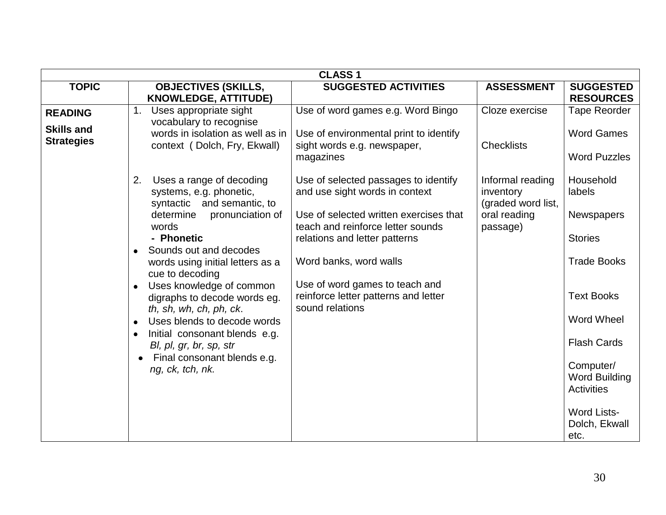|                                     |                                                                                                      | <b>CLASS1</b>                                                                                                |                                                     |                                                        |
|-------------------------------------|------------------------------------------------------------------------------------------------------|--------------------------------------------------------------------------------------------------------------|-----------------------------------------------------|--------------------------------------------------------|
| <b>TOPIC</b>                        | <b>OBJECTIVES (SKILLS,</b><br><b>KNOWLEDGE, ATTITUDE)</b>                                            | <b>SUGGESTED ACTIVITIES</b>                                                                                  | <b>ASSESSMENT</b>                                   | <b>SUGGESTED</b><br><b>RESOURCES</b>                   |
| <b>READING</b><br><b>Skills and</b> | 1.<br>Uses appropriate sight<br>vocabulary to recognise<br>words in isolation as well as in          | Use of word games e.g. Word Bingo<br>Use of environmental print to identify                                  | Cloze exercise                                      | Tape Reorder<br><b>Word Games</b>                      |
| <b>Strategies</b>                   | context (Dolch, Fry, Ekwall)                                                                         | sight words e.g. newspaper,<br>magazines                                                                     | <b>Checklists</b>                                   | <b>Word Puzzles</b>                                    |
|                                     | 2.<br>Uses a range of decoding<br>systems, e.g. phonetic,<br>syntactic and semantic, to              | Use of selected passages to identify<br>and use sight words in context                                       | Informal reading<br>inventory<br>(graded word list, | Household<br>labels                                    |
|                                     | determine<br>pronunciation of<br>words<br>- Phonetic                                                 | Use of selected written exercises that<br>teach and reinforce letter sounds<br>relations and letter patterns | oral reading<br>passage)                            | <b>Newspapers</b><br><b>Stories</b>                    |
|                                     | Sounds out and decodes<br>$\bullet$<br>words using initial letters as a<br>cue to decoding           | Word banks, word walls                                                                                       |                                                     | <b>Trade Books</b>                                     |
|                                     | Uses knowledge of common<br>digraphs to decode words eg.<br>th, sh, wh, ch, ph, ck.                  | Use of word games to teach and<br>reinforce letter patterns and letter<br>sound relations                    |                                                     | <b>Text Books</b>                                      |
|                                     | Uses blends to decode words<br>Initial consonant blends e.g.<br>$\bullet$<br>Bl, pl, gr, br, sp, str |                                                                                                              |                                                     | <b>Word Wheel</b><br><b>Flash Cards</b>                |
|                                     | Final consonant blends e.g.<br>$\bullet$<br>ng, ck, tch, nk.                                         |                                                                                                              |                                                     | Computer/<br><b>Word Building</b><br><b>Activities</b> |
|                                     |                                                                                                      |                                                                                                              |                                                     | <b>Word Lists-</b><br>Dolch, Ekwall<br>etc.            |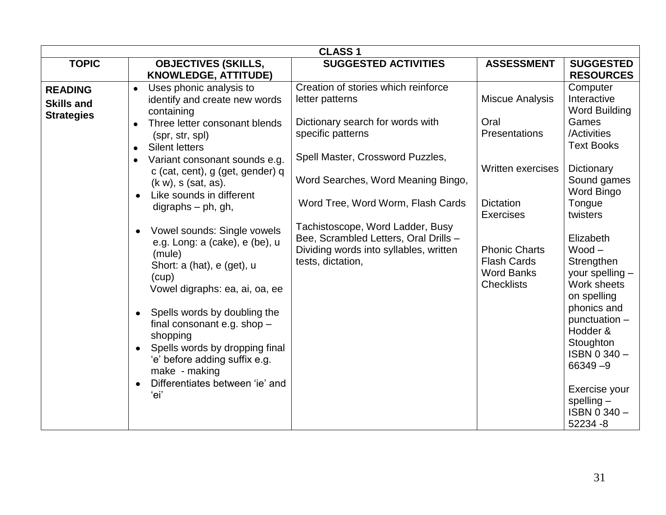|                                                          |                                                                                                                                                                                                                                                                                                                                                                                                                                                                                                | <b>CLASS1</b>                                                                                                                                                                                                                                                                                                                                                              |                                                                                                                                                                                                      |                                                                                                                                                                                                                                                       |
|----------------------------------------------------------|------------------------------------------------------------------------------------------------------------------------------------------------------------------------------------------------------------------------------------------------------------------------------------------------------------------------------------------------------------------------------------------------------------------------------------------------------------------------------------------------|----------------------------------------------------------------------------------------------------------------------------------------------------------------------------------------------------------------------------------------------------------------------------------------------------------------------------------------------------------------------------|------------------------------------------------------------------------------------------------------------------------------------------------------------------------------------------------------|-------------------------------------------------------------------------------------------------------------------------------------------------------------------------------------------------------------------------------------------------------|
| <b>TOPIC</b>                                             | <b>OBJECTIVES (SKILLS,</b><br><b>KNOWLEDGE, ATTITUDE)</b>                                                                                                                                                                                                                                                                                                                                                                                                                                      | <b>SUGGESTED ACTIVITIES</b>                                                                                                                                                                                                                                                                                                                                                | <b>ASSESSMENT</b>                                                                                                                                                                                    | <b>SUGGESTED</b><br><b>RESOURCES</b>                                                                                                                                                                                                                  |
| <b>READING</b><br><b>Skills and</b><br><b>Strategies</b> | Uses phonic analysis to<br>$\bullet$<br>identify and create new words<br>containing<br>Three letter consonant blends<br>(spr, str, spl)<br><b>Silent letters</b><br>$\bullet$<br>Variant consonant sounds e.g.<br>$\bullet$<br>c (cat, cent), g (get, gender) q<br>(k w), s (sat, as).<br>Like sounds in different<br>digraphs $-$ ph, gh,<br>Vowel sounds: Single vowels<br>e.g. Long: a (cake), e (be), u<br>(mule)<br>Short: a (hat), e (get), u<br>(cup)<br>Vowel digraphs: ea, ai, oa, ee | Creation of stories which reinforce<br>letter patterns<br>Dictionary search for words with<br>specific patterns<br>Spell Master, Crossword Puzzles,<br>Word Searches, Word Meaning Bingo,<br>Word Tree, Word Worm, Flash Cards<br>Tachistoscope, Word Ladder, Busy<br>Bee, Scrambled Letters, Oral Drills -<br>Dividing words into syllables, written<br>tests, dictation, | <b>Miscue Analysis</b><br>Oral<br>Presentations<br>Written exercises<br><b>Dictation</b><br><b>Exercises</b><br><b>Phonic Charts</b><br><b>Flash Cards</b><br><b>Word Banks</b><br><b>Checklists</b> | Computer<br>Interactive<br><b>Word Building</b><br>Games<br>/Activities<br><b>Text Books</b><br>Dictionary<br>Sound games<br>Word Bingo<br>Tongue<br>twisters<br>Elizabeth<br>$Wood -$<br>Strengthen<br>your spelling -<br>Work sheets<br>on spelling |
|                                                          | Spells words by doubling the<br>$\bullet$<br>final consonant e.g. shop -<br>shopping<br>Spells words by dropping final<br>'e' before adding suffix e.g.<br>make - making<br>Differentiates between 'ie' and<br>ʻei'                                                                                                                                                                                                                                                                            |                                                                                                                                                                                                                                                                                                                                                                            |                                                                                                                                                                                                      | phonics and<br>punctuation -<br>Hodder &<br>Stoughton<br>ISBN 0340-<br>$66349 - 9$<br>Exercise your<br>$spelling -$<br>ISBN 0340-<br>52234 -8                                                                                                         |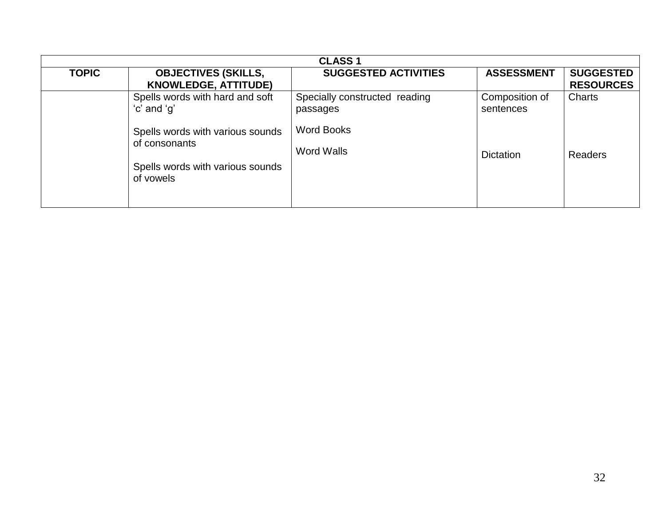| <b>CLASS1</b> |                                                                                                    |                                           |                             |                                      |  |
|---------------|----------------------------------------------------------------------------------------------------|-------------------------------------------|-----------------------------|--------------------------------------|--|
| <b>TOPIC</b>  | <b>OBJECTIVES (SKILLS,</b><br><b>KNOWLEDGE, ATTITUDE)</b>                                          | <b>SUGGESTED ACTIVITIES</b>               | <b>ASSESSMENT</b>           | <b>SUGGESTED</b><br><b>RESOURCES</b> |  |
|               | Spells words with hard and soft<br>'c' and 'g'                                                     | Specially constructed reading<br>passages | Composition of<br>sentences | Charts                               |  |
|               | Spells words with various sounds<br>of consonants<br>Spells words with various sounds<br>of vowels | Word Books<br><b>Word Walls</b>           | <b>Dictation</b>            | Readers                              |  |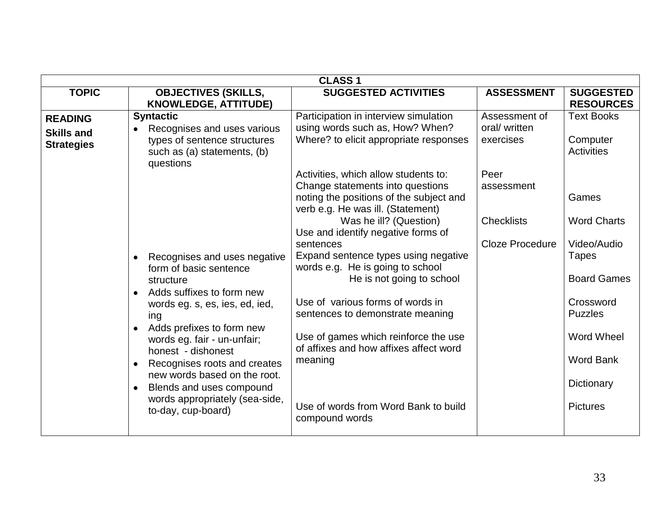|                                                          |                                                                                                                                                                                                                                                                                                                                                                                                                                                                                                                                                                                                     | <b>CLASS1</b>                                                                                                                                                                                                                                                                                                                                                                                                                                                                                                                                                                                                                                                                                       |                                                                                                                  |                                                                                                                                                                                                                                                              |
|----------------------------------------------------------|-----------------------------------------------------------------------------------------------------------------------------------------------------------------------------------------------------------------------------------------------------------------------------------------------------------------------------------------------------------------------------------------------------------------------------------------------------------------------------------------------------------------------------------------------------------------------------------------------------|-----------------------------------------------------------------------------------------------------------------------------------------------------------------------------------------------------------------------------------------------------------------------------------------------------------------------------------------------------------------------------------------------------------------------------------------------------------------------------------------------------------------------------------------------------------------------------------------------------------------------------------------------------------------------------------------------------|------------------------------------------------------------------------------------------------------------------|--------------------------------------------------------------------------------------------------------------------------------------------------------------------------------------------------------------------------------------------------------------|
| <b>TOPIC</b>                                             | <b>OBJECTIVES (SKILLS,</b>                                                                                                                                                                                                                                                                                                                                                                                                                                                                                                                                                                          | <b>SUGGESTED ACTIVITIES</b>                                                                                                                                                                                                                                                                                                                                                                                                                                                                                                                                                                                                                                                                         | <b>ASSESSMENT</b>                                                                                                | <b>SUGGESTED</b>                                                                                                                                                                                                                                             |
| <b>READING</b><br><b>Skills and</b><br><b>Strategies</b> | <b>KNOWLEDGE, ATTITUDE)</b><br><b>Syntactic</b><br>Recognises and uses various<br>types of sentence structures<br>such as (a) statements, (b)<br>questions<br>Recognises and uses negative<br>$\bullet$<br>form of basic sentence<br>structure<br>Adds suffixes to form new<br>$\bullet$<br>words eg. s, es, ies, ed, ied,<br>ing<br>• Adds prefixes to form new<br>words eg. fair - un-unfair;<br>honest - dishonest<br>Recognises roots and creates<br>$\bullet$<br>new words based on the root.<br>Blends and uses compound<br>$\bullet$<br>words appropriately (sea-side,<br>to-day, cup-board) | Participation in interview simulation<br>using words such as, How? When?<br>Where? to elicit appropriate responses<br>Activities, which allow students to:<br>Change statements into questions<br>noting the positions of the subject and<br>verb e.g. He was ill. (Statement)<br>Was he ill? (Question)<br>Use and identify negative forms of<br>sentences<br>Expand sentence types using negative<br>words e.g. He is going to school<br>He is not going to school<br>Use of various forms of words in<br>sentences to demonstrate meaning<br>Use of games which reinforce the use<br>of affixes and how affixes affect word<br>meaning<br>Use of words from Word Bank to build<br>compound words | Assessment of<br>oral/ written<br>exercises<br>Peer<br>assessment<br><b>Checklists</b><br><b>Cloze Procedure</b> | <b>RESOURCES</b><br><b>Text Books</b><br>Computer<br><b>Activities</b><br>Games<br><b>Word Charts</b><br>Video/Audio<br><b>Tapes</b><br><b>Board Games</b><br>Crossword<br><b>Puzzles</b><br>Word Wheel<br><b>Word Bank</b><br>Dictionary<br><b>Pictures</b> |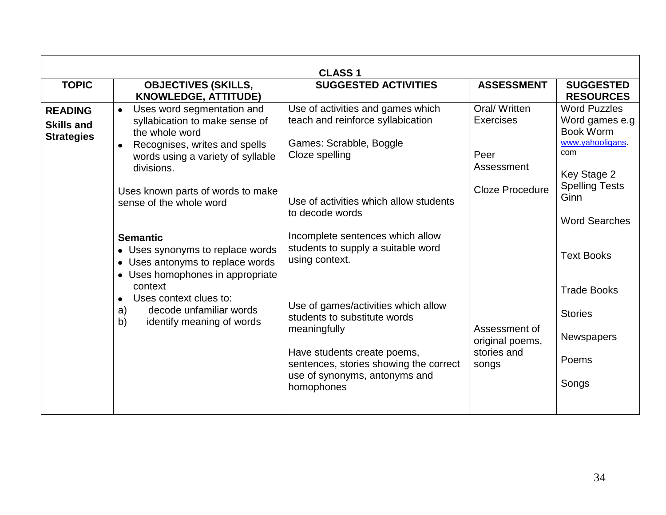|                                                          | <b>CLASS1</b>                                                                                                                                                                                                                      |                                                                                                                                                                                                             |                                                                                  |                                                                                                                               |  |  |  |  |  |
|----------------------------------------------------------|------------------------------------------------------------------------------------------------------------------------------------------------------------------------------------------------------------------------------------|-------------------------------------------------------------------------------------------------------------------------------------------------------------------------------------------------------------|----------------------------------------------------------------------------------|-------------------------------------------------------------------------------------------------------------------------------|--|--|--|--|--|
| <b>TOPIC</b>                                             | <b>OBJECTIVES (SKILLS,</b><br><b>KNOWLEDGE, ATTITUDE)</b>                                                                                                                                                                          | <b>SUGGESTED ACTIVITIES</b>                                                                                                                                                                                 | <b>ASSESSMENT</b>                                                                | <b>SUGGESTED</b><br><b>RESOURCES</b>                                                                                          |  |  |  |  |  |
| <b>READING</b><br><b>Skills and</b><br><b>Strategies</b> | Uses word segmentation and<br>syllabication to make sense of<br>the whole word<br>Recognises, writes and spells<br>words using a variety of syllable<br>divisions.<br>Uses known parts of words to make<br>sense of the whole word | Use of activities and games which<br>teach and reinforce syllabication<br>Games: Scrabble, Boggle<br>Cloze spelling<br>Use of activities which allow students                                               | Oral/Written<br><b>Exercises</b><br>Peer<br>Assessment<br><b>Cloze Procedure</b> | <b>Word Puzzles</b><br>Word games e.g<br>Book Worm<br>www.yahooligans.<br>com<br>Key Stage 2<br><b>Spelling Tests</b><br>Ginn |  |  |  |  |  |
| $\bullet$<br>a)<br>b)                                    | <b>Semantic</b><br>• Uses synonyms to replace words<br>• Uses antonyms to replace words<br>• Uses homophones in appropriate                                                                                                        | to decode words<br>Incomplete sentences which allow<br>students to supply a suitable word<br>using context.                                                                                                 |                                                                                  | <b>Word Searches</b><br><b>Text Books</b>                                                                                     |  |  |  |  |  |
|                                                          | context<br>Uses context clues to:<br>decode unfamiliar words<br>identify meaning of words                                                                                                                                          | Use of games/activities which allow<br>students to substitute words<br>meaningfully<br>Have students create poems,<br>sentences, stories showing the correct<br>use of synonyms, antonyms and<br>homophones | Assessment of<br>original poems,<br>stories and<br>songs                         | <b>Trade Books</b><br><b>Stories</b><br>Newspapers<br>Poems<br>Songs                                                          |  |  |  |  |  |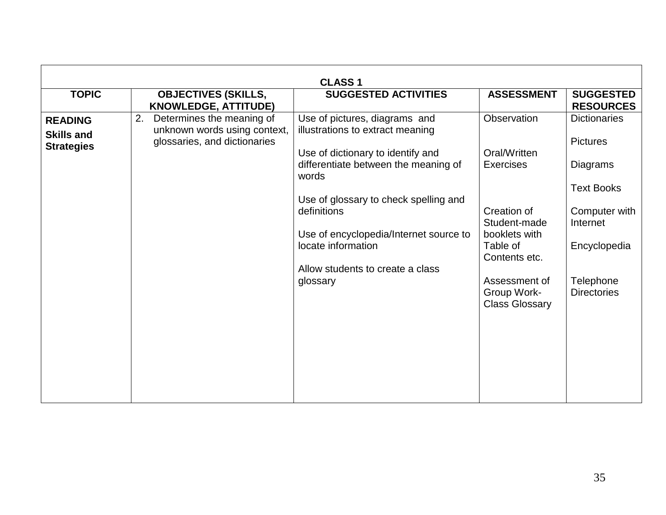| <b>CLASS1</b>                                            |                                                                                                 |                                                                                    |                                                       |                                        |  |  |  |  |
|----------------------------------------------------------|-------------------------------------------------------------------------------------------------|------------------------------------------------------------------------------------|-------------------------------------------------------|----------------------------------------|--|--|--|--|
| <b>TOPIC</b>                                             | <b>OBJECTIVES (SKILLS,</b><br><b>KNOWLEDGE, ATTITUDE)</b>                                       | <b>SUGGESTED ACTIVITIES</b>                                                        | <b>ASSESSMENT</b>                                     | <b>SUGGESTED</b><br><b>RESOURCES</b>   |  |  |  |  |
| <b>READING</b><br><b>Skills and</b><br><b>Strategies</b> | 2.<br>Determines the meaning of<br>unknown words using context,<br>glossaries, and dictionaries | Use of pictures, diagrams and<br>illustrations to extract meaning                  | Observation                                           | <b>Dictionaries</b><br><b>Pictures</b> |  |  |  |  |
|                                                          |                                                                                                 | Use of dictionary to identify and<br>differentiate between the meaning of<br>words | Oral/Written<br><b>Exercises</b>                      | Diagrams                               |  |  |  |  |
|                                                          |                                                                                                 | Use of glossary to check spelling and<br>definitions                               | Creation of                                           | <b>Text Books</b><br>Computer with     |  |  |  |  |
|                                                          |                                                                                                 | Use of encyclopedia/Internet source to<br>locate information                       | Student-made<br>booklets with<br>Table of             | Internet<br>Encyclopedia               |  |  |  |  |
|                                                          |                                                                                                 | Allow students to create a class                                                   | Contents etc.                                         |                                        |  |  |  |  |
|                                                          |                                                                                                 | glossary                                                                           | Assessment of<br>Group Work-<br><b>Class Glossary</b> | Telephone<br><b>Directories</b>        |  |  |  |  |
|                                                          |                                                                                                 |                                                                                    |                                                       |                                        |  |  |  |  |
|                                                          |                                                                                                 |                                                                                    |                                                       |                                        |  |  |  |  |
|                                                          |                                                                                                 |                                                                                    |                                                       |                                        |  |  |  |  |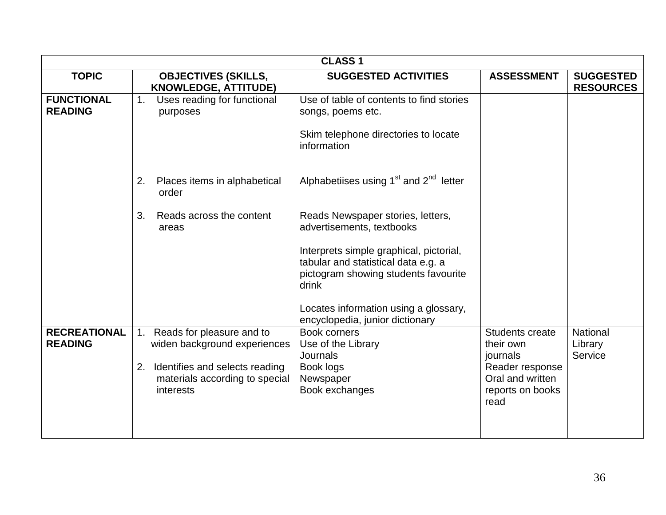|                                       |                                                                                                                                                        | <b>CLASS 1</b>                                                                                                                                                                                                                                                                |                                                                                                                    |                                      |
|---------------------------------------|--------------------------------------------------------------------------------------------------------------------------------------------------------|-------------------------------------------------------------------------------------------------------------------------------------------------------------------------------------------------------------------------------------------------------------------------------|--------------------------------------------------------------------------------------------------------------------|--------------------------------------|
| <b>TOPIC</b>                          | <b>OBJECTIVES (SKILLS,</b><br><b>KNOWLEDGE, ATTITUDE)</b>                                                                                              | <b>SUGGESTED ACTIVITIES</b>                                                                                                                                                                                                                                                   | <b>ASSESSMENT</b>                                                                                                  | <b>SUGGESTED</b><br><b>RESOURCES</b> |
| <b>FUNCTIONAL</b><br><b>READING</b>   | Uses reading for functional<br>1.<br>purposes                                                                                                          | Use of table of contents to find stories<br>songs, poems etc.<br>Skim telephone directories to locate<br>information                                                                                                                                                          |                                                                                                                    |                                      |
|                                       | 2.<br>Places items in alphabetical<br>order                                                                                                            | Alphabetiises using $1st$ and $2nd$ letter                                                                                                                                                                                                                                    |                                                                                                                    |                                      |
|                                       | Reads across the content<br>3.<br>areas                                                                                                                | Reads Newspaper stories, letters,<br>advertisements, textbooks<br>Interprets simple graphical, pictorial,<br>tabular and statistical data e.g. a<br>pictogram showing students favourite<br>drink<br>Locates information using a glossary,<br>encyclopedia, junior dictionary |                                                                                                                    |                                      |
| <b>RECREATIONAL</b><br><b>READING</b> | Reads for pleasure and to<br>1.<br>widen background experiences<br>Identifies and selects reading<br>2.<br>materials according to special<br>interests | Book corners<br>Use of the Library<br><b>Journals</b><br>Book logs<br>Newspaper<br>Book exchanges                                                                                                                                                                             | <b>Students create</b><br>their own<br>journals<br>Reader response<br>Oral and written<br>reports on books<br>read | National<br>Library<br>Service       |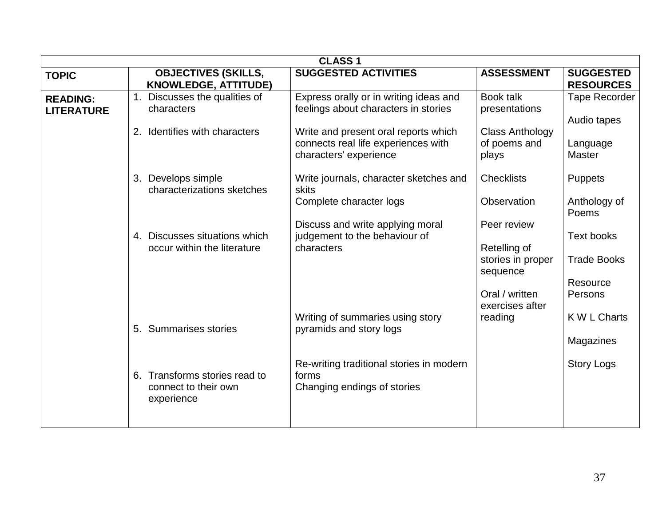|                                      |                                                                     | <b>CLASS1</b>                                                                                         |                                                                                |                                                                |  |  |  |  |  |  |
|--------------------------------------|---------------------------------------------------------------------|-------------------------------------------------------------------------------------------------------|--------------------------------------------------------------------------------|----------------------------------------------------------------|--|--|--|--|--|--|
| <b>TOPIC</b>                         | <b>OBJECTIVES (SKILLS,</b><br><b>KNOWLEDGE, ATTITUDE)</b>           | <b>SUGGESTED ACTIVITIES</b>                                                                           | <b>ASSESSMENT</b>                                                              | <b>SUGGESTED</b><br><b>RESOURCES</b>                           |  |  |  |  |  |  |
| <b>READING:</b><br><b>LITERATURE</b> | 1. Discusses the qualities of<br>characters                         | Express orally or in writing ideas and<br>feelings about characters in stories                        | Book talk<br>presentations                                                     | Tape Recorder<br>Audio tapes                                   |  |  |  |  |  |  |
|                                      | 2. Identifies with characters                                       | Write and present oral reports which<br>connects real life experiences with<br>characters' experience | <b>Class Anthology</b><br>of poems and<br>plays                                | Language<br><b>Master</b>                                      |  |  |  |  |  |  |
|                                      | 3. Develops simple<br>characterizations sketches                    | Write journals, character sketches and<br>skits                                                       | <b>Checklists</b>                                                              | <b>Puppets</b>                                                 |  |  |  |  |  |  |
|                                      |                                                                     | Complete character logs                                                                               | Observation                                                                    | Anthology of<br>Poems                                          |  |  |  |  |  |  |
|                                      | 4. Discusses situations which<br>occur within the literature        | Discuss and write applying moral<br>judgement to the behaviour of<br>characters                       | Peer review<br>Retelling of<br>stories in proper<br>sequence<br>Oral / written | <b>Text books</b><br><b>Trade Books</b><br>Resource<br>Persons |  |  |  |  |  |  |
|                                      | 5. Summarises stories                                               | Writing of summaries using story<br>pyramids and story logs                                           | exercises after<br>reading                                                     | K W L Charts<br>Magazines                                      |  |  |  |  |  |  |
|                                      | 6. Transforms stories read to<br>connect to their own<br>experience | Re-writing traditional stories in modern<br>forms<br>Changing endings of stories                      |                                                                                | <b>Story Logs</b>                                              |  |  |  |  |  |  |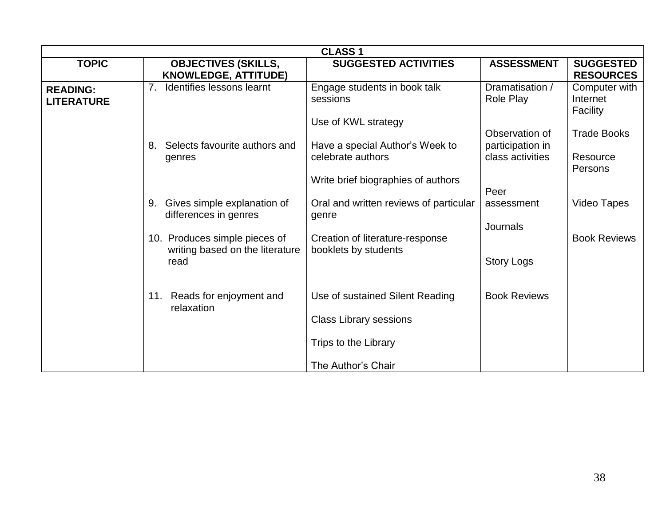|                   | <b>CLASS1</b>                                                    |                                                         |                     |                            |  |  |  |  |
|-------------------|------------------------------------------------------------------|---------------------------------------------------------|---------------------|----------------------------|--|--|--|--|
| <b>TOPIC</b>      | <b>OBJECTIVES (SKILLS,</b>                                       | <b>SUGGESTED ACTIVITIES</b>                             | <b>ASSESSMENT</b>   | <b>SUGGESTED</b>           |  |  |  |  |
|                   | <b>KNOWLEDGE, ATTITUDE)</b>                                      |                                                         |                     | <b>RESOURCES</b>           |  |  |  |  |
| <b>READING:</b>   | 7.<br>Identifies lessons learnt                                  | Engage students in book talk                            | Dramatisation /     | Computer with              |  |  |  |  |
| <b>LITERATURE</b> |                                                                  | sessions                                                | Role Play           | Internet<br>Facility       |  |  |  |  |
|                   |                                                                  | Use of KWL strategy                                     |                     |                            |  |  |  |  |
|                   |                                                                  |                                                         | Observation of      | <b>Trade Books</b>         |  |  |  |  |
|                   | Selects favourite authors and<br>8.                              | Have a special Author's Week to                         | participation in    |                            |  |  |  |  |
|                   | genres                                                           | celebrate authors                                       | class activities    | Resource<br><b>Persons</b> |  |  |  |  |
|                   |                                                                  | Write brief biographies of authors                      |                     |                            |  |  |  |  |
|                   |                                                                  |                                                         | Peer                |                            |  |  |  |  |
|                   | Gives simple explanation of<br>9.<br>differences in genres       | Oral and written reviews of particular<br>genre         | assessment          | <b>Video Tapes</b>         |  |  |  |  |
|                   |                                                                  |                                                         | Journals            |                            |  |  |  |  |
|                   | 10. Produces simple pieces of<br>writing based on the literature | Creation of literature-response<br>booklets by students |                     | <b>Book Reviews</b>        |  |  |  |  |
|                   | read                                                             |                                                         | <b>Story Logs</b>   |                            |  |  |  |  |
|                   |                                                                  |                                                         |                     |                            |  |  |  |  |
|                   | 11. Reads for enjoyment and                                      | Use of sustained Silent Reading                         | <b>Book Reviews</b> |                            |  |  |  |  |
|                   | relaxation                                                       |                                                         |                     |                            |  |  |  |  |
|                   |                                                                  | <b>Class Library sessions</b>                           |                     |                            |  |  |  |  |
|                   |                                                                  | Trips to the Library                                    |                     |                            |  |  |  |  |
|                   |                                                                  | The Author's Chair                                      |                     |                            |  |  |  |  |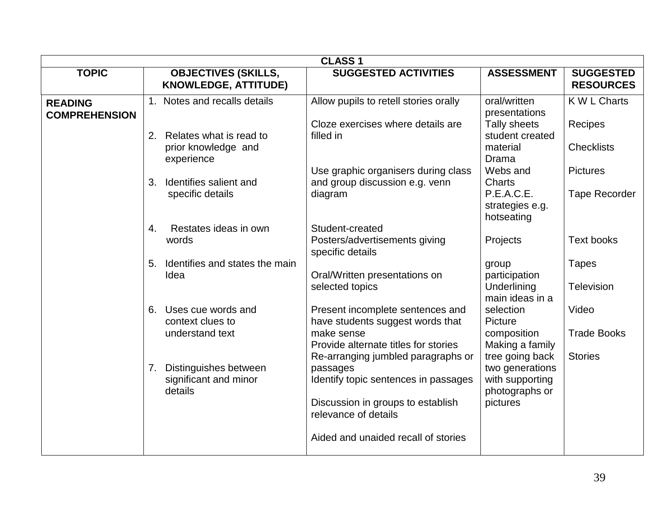|                                        | <b>CLASS1</b>                                                      |                                                                                                                                |                                                                                            |                                      |  |  |  |
|----------------------------------------|--------------------------------------------------------------------|--------------------------------------------------------------------------------------------------------------------------------|--------------------------------------------------------------------------------------------|--------------------------------------|--|--|--|
| <b>TOPIC</b>                           | <b>OBJECTIVES (SKILLS,</b><br><b>KNOWLEDGE, ATTITUDE)</b>          | <b>SUGGESTED ACTIVITIES</b>                                                                                                    | <b>ASSESSMENT</b>                                                                          | <b>SUGGESTED</b><br><b>RESOURCES</b> |  |  |  |
| <b>READING</b><br><b>COMPREHENSION</b> | 1. Notes and recalls details                                       | Allow pupils to retell stories orally<br>Cloze exercises where details are                                                     | oral/written<br>presentations<br>Tally sheets                                              | K W L Charts<br>Recipes              |  |  |  |
|                                        | 2.<br>Relates what is read to<br>prior knowledge and<br>experience | filled in                                                                                                                      | student created<br>material<br><b>Drama</b>                                                | <b>Checklists</b>                    |  |  |  |
|                                        | Identifies salient and<br>3.                                       | Use graphic organisers during class<br>and group discussion e.g. venn                                                          | Webs and<br>Charts                                                                         | <b>Pictures</b>                      |  |  |  |
|                                        | specific details                                                   | diagram                                                                                                                        | P.E.A.C.E.<br>strategies e.g.<br>hotseating                                                | <b>Tape Recorder</b>                 |  |  |  |
|                                        | Restates ideas in own<br>4.<br>words                               | Student-created<br>Posters/advertisements giving<br>specific details                                                           | Projects                                                                                   | Text books                           |  |  |  |
|                                        | Identifies and states the main<br>5.<br>Idea                       | Oral/Written presentations on<br>selected topics                                                                               | group<br>participation<br>Underlining<br>main ideas in a                                   | <b>Tapes</b><br>Television           |  |  |  |
|                                        | 6. Uses cue words and<br>context clues to<br>understand text       | Present incomplete sentences and<br>have students suggest words that<br>make sense                                             | selection<br>Picture<br>composition                                                        | Video<br><b>Trade Books</b>          |  |  |  |
|                                        | Distinguishes between<br>7.<br>significant and minor<br>details    | Provide alternate titles for stories<br>Re-arranging jumbled paragraphs or<br>passages<br>Identify topic sentences in passages | Making a family<br>tree going back<br>two generations<br>with supporting<br>photographs or | <b>Stories</b>                       |  |  |  |
|                                        |                                                                    | Discussion in groups to establish<br>relevance of details                                                                      | pictures                                                                                   |                                      |  |  |  |
|                                        |                                                                    | Aided and unaided recall of stories                                                                                            |                                                                                            |                                      |  |  |  |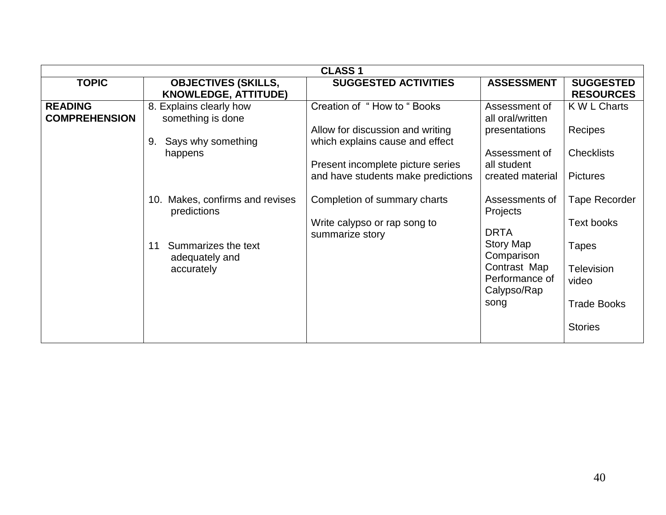|                      | <b>CLASS 1</b>                     |                                    |                   |                      |  |  |  |
|----------------------|------------------------------------|------------------------------------|-------------------|----------------------|--|--|--|
| <b>TOPIC</b>         | <b>OBJECTIVES (SKILLS,</b>         | <b>SUGGESTED ACTIVITIES</b>        | <b>ASSESSMENT</b> | <b>SUGGESTED</b>     |  |  |  |
|                      | <b>KNOWLEDGE, ATTITUDE)</b>        |                                    |                   | <b>RESOURCES</b>     |  |  |  |
| <b>READING</b>       | 8. Explains clearly how            | Creation of "How to "Books"        | Assessment of     | K W L Charts         |  |  |  |
| <b>COMPREHENSION</b> | something is done                  |                                    | all oral/written  |                      |  |  |  |
|                      |                                    | Allow for discussion and writing   | presentations     | Recipes              |  |  |  |
|                      | Says why something<br>9.           | which explains cause and effect    |                   |                      |  |  |  |
|                      | happens                            |                                    | Assessment of     | <b>Checklists</b>    |  |  |  |
|                      |                                    | Present incomplete picture series  | all student       |                      |  |  |  |
|                      |                                    | and have students make predictions | created material  | <b>Pictures</b>      |  |  |  |
|                      |                                    |                                    |                   |                      |  |  |  |
|                      | Makes, confirms and revises<br>10. | Completion of summary charts       | Assessments of    | <b>Tape Recorder</b> |  |  |  |
|                      | predictions                        |                                    | Projects          |                      |  |  |  |
|                      |                                    | Write calypso or rap song to       |                   | Text books           |  |  |  |
|                      |                                    | summarize story                    | <b>DRTA</b>       |                      |  |  |  |
|                      | Summarizes the text<br>11          |                                    | <b>Story Map</b>  | <b>Tapes</b>         |  |  |  |
|                      | adequately and                     |                                    | Comparison        |                      |  |  |  |
|                      | accurately                         |                                    | Contrast Map      | <b>Television</b>    |  |  |  |
|                      |                                    |                                    | Performance of    | video                |  |  |  |
|                      |                                    |                                    | Calypso/Rap       |                      |  |  |  |
|                      |                                    |                                    | song              | <b>Trade Books</b>   |  |  |  |
|                      |                                    |                                    |                   |                      |  |  |  |
|                      |                                    |                                    |                   | <b>Stories</b>       |  |  |  |
|                      |                                    |                                    |                   |                      |  |  |  |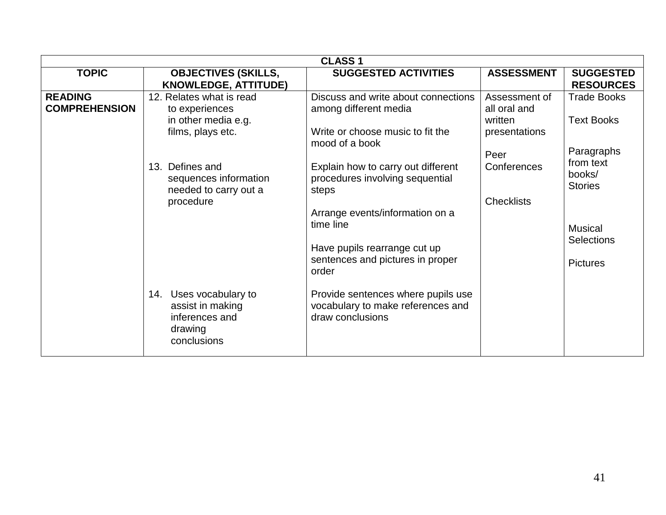|                                        | <b>CLASS1</b>                                                                          |                                                                                                                                                                                                             |                                                           |                                                                                                 |  |  |  |  |
|----------------------------------------|----------------------------------------------------------------------------------------|-------------------------------------------------------------------------------------------------------------------------------------------------------------------------------------------------------------|-----------------------------------------------------------|-------------------------------------------------------------------------------------------------|--|--|--|--|
| <b>TOPIC</b>                           | <b>OBJECTIVES (SKILLS,</b><br><b>KNOWLEDGE, ATTITUDE)</b>                              | <b>SUGGESTED ACTIVITIES</b>                                                                                                                                                                                 | <b>ASSESSMENT</b>                                         | <b>SUGGESTED</b><br><b>RESOURCES</b>                                                            |  |  |  |  |
| <b>READING</b><br><b>COMPREHENSION</b> | 12. Relates what is read<br>to experiences<br>in other media e.g.<br>films, plays etc. | Discuss and write about connections<br>among different media<br>Write or choose music to fit the<br>mood of a book                                                                                          | Assessment of<br>all oral and<br>written<br>presentations | <b>Trade Books</b><br><b>Text Books</b><br>Paragraphs                                           |  |  |  |  |
|                                        | 13. Defines and<br>sequences information<br>needed to carry out a<br>procedure         | Explain how to carry out different<br>procedures involving sequential<br>steps<br>Arrange events/information on a<br>time line<br>Have pupils rearrange cut up<br>sentences and pictures in proper<br>order | Peer<br>Conferences<br><b>Checklists</b>                  | from text<br>books/<br><b>Stories</b><br><b>Musical</b><br><b>Selections</b><br><b>Pictures</b> |  |  |  |  |
|                                        | 14. Uses vocabulary to<br>assist in making<br>inferences and<br>drawing<br>conclusions | Provide sentences where pupils use<br>vocabulary to make references and<br>draw conclusions                                                                                                                 |                                                           |                                                                                                 |  |  |  |  |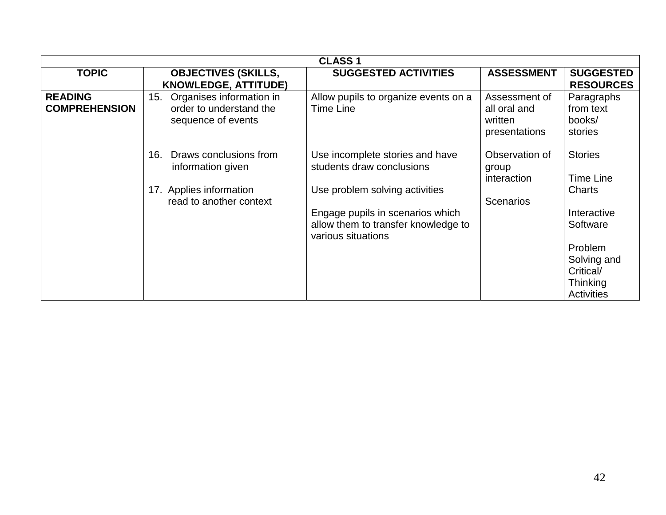|                                        | <b>CLASS 1</b>                                                                   |                                                                                               |                                                           |                                                                             |  |  |  |
|----------------------------------------|----------------------------------------------------------------------------------|-----------------------------------------------------------------------------------------------|-----------------------------------------------------------|-----------------------------------------------------------------------------|--|--|--|
| <b>TOPIC</b>                           | <b>OBJECTIVES (SKILLS,</b><br><b>KNOWLEDGE, ATTITUDE)</b>                        | <b>SUGGESTED ACTIVITIES</b>                                                                   | <b>ASSESSMENT</b>                                         | <b>SUGGESTED</b><br><b>RESOURCES</b>                                        |  |  |  |
| <b>READING</b><br><b>COMPREHENSION</b> | Organises information in<br>15.<br>order to understand the<br>sequence of events | Allow pupils to organize events on a<br>Time Line                                             | Assessment of<br>all oral and<br>written<br>presentations | Paragraphs<br>from text<br>books/<br>stories                                |  |  |  |
|                                        | Draws conclusions from<br>16.<br>information given                               | Use incomplete stories and have<br>students draw conclusions                                  | Observation of<br>group<br>interaction                    | <b>Stories</b><br>Time Line                                                 |  |  |  |
|                                        | 17. Applies information<br>read to another context                               | Use problem solving activities                                                                | <b>Scenarios</b>                                          | Charts                                                                      |  |  |  |
|                                        |                                                                                  | Engage pupils in scenarios which<br>allow them to transfer knowledge to<br>various situations |                                                           | Interactive<br>Software                                                     |  |  |  |
|                                        |                                                                                  |                                                                                               |                                                           | Problem<br>Solving and<br>Critical/<br><b>Thinking</b><br><b>Activities</b> |  |  |  |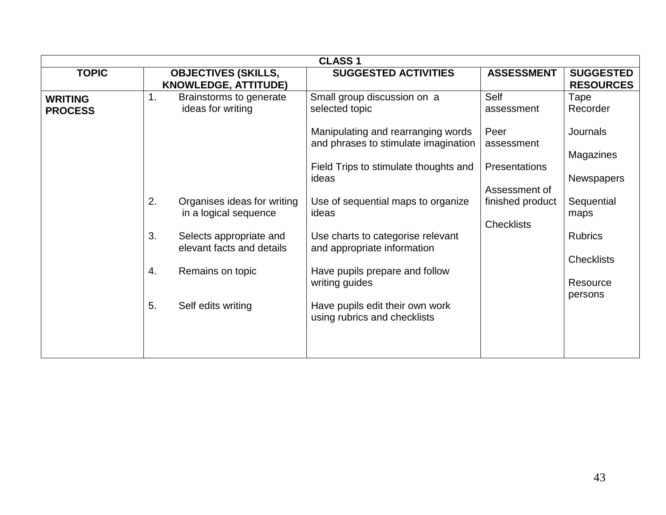|                                  |    |                                                           | <b>CLASS 1</b>                                                             |                                   |                                      |
|----------------------------------|----|-----------------------------------------------------------|----------------------------------------------------------------------------|-----------------------------------|--------------------------------------|
| <b>TOPIC</b>                     |    | <b>OBJECTIVES (SKILLS,</b><br><b>KNOWLEDGE, ATTITUDE)</b> | <b>SUGGESTED ACTIVITIES</b>                                                | <b>ASSESSMENT</b>                 | <b>SUGGESTED</b><br><b>RESOURCES</b> |
| <b>WRITING</b><br><b>PROCESS</b> | 1. | Brainstorms to generate<br>ideas for writing              | Small group discussion on a<br>selected topic                              | Self<br>assessment                | Tape<br>Recorder                     |
|                                  |    |                                                           | Manipulating and rearranging words<br>and phrases to stimulate imagination | Peer<br>assessment                | Journals                             |
|                                  |    |                                                           | Field Trips to stimulate thoughts and<br>ideas                             | <b>Presentations</b>              | Magazines<br><b>Newspapers</b>       |
|                                  | 2. | Organises ideas for writing<br>in a logical sequence      | Use of sequential maps to organize<br>ideas                                | Assessment of<br>finished product | Sequential<br>maps                   |
|                                  | 3. | Selects appropriate and<br>elevant facts and details      | Use charts to categorise relevant<br>and appropriate information           | <b>Checklists</b>                 | <b>Rubrics</b>                       |
|                                  | 4. | Remains on topic                                          | Have pupils prepare and follow<br>writing guides                           |                                   | <b>Checklists</b><br>Resource        |
|                                  | 5. | Self edits writing                                        | Have pupils edit their own work<br>using rubrics and checklists            |                                   | persons                              |
|                                  |    |                                                           |                                                                            |                                   |                                      |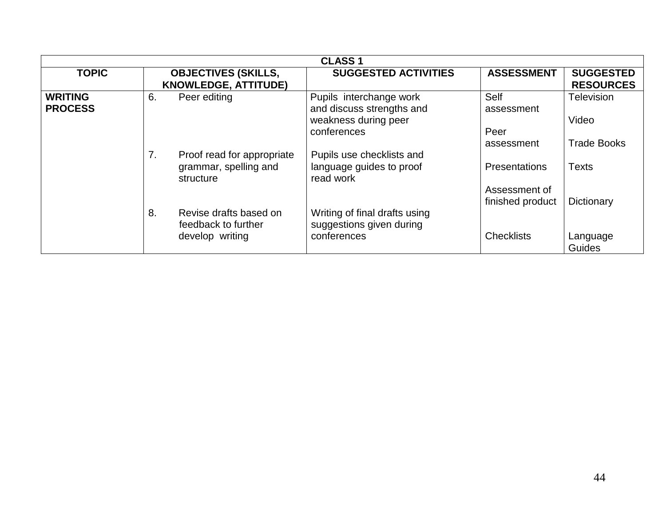| <b>CLASS1</b>                    |    |                                                                  |                                                                              |                                   |                                      |  |  |
|----------------------------------|----|------------------------------------------------------------------|------------------------------------------------------------------------------|-----------------------------------|--------------------------------------|--|--|
| <b>TOPIC</b>                     |    | <b>OBJECTIVES (SKILLS,</b><br><b>KNOWLEDGE, ATTITUDE)</b>        | <b>SUGGESTED ACTIVITIES</b>                                                  | <b>ASSESSMENT</b>                 | <b>SUGGESTED</b><br><b>RESOURCES</b> |  |  |
| <b>WRITING</b><br><b>PROCESS</b> | 6. | Peer editing                                                     | Pupils interchange work<br>and discuss strengths and<br>weakness during peer | Self<br>assessment                | <b>Television</b><br>Video           |  |  |
|                                  |    |                                                                  | conferences                                                                  | Peer<br>assessment                | <b>Trade Books</b>                   |  |  |
|                                  | 7. | Proof read for appropriate<br>grammar, spelling and<br>structure | Pupils use checklists and<br>language guides to proof<br>read work           | <b>Presentations</b>              | <b>Texts</b>                         |  |  |
|                                  | 8. | Revise drafts based on                                           | Writing of final drafts using                                                | Assessment of<br>finished product | Dictionary                           |  |  |
|                                  |    | feedback to further<br>develop writing                           | suggestions given during<br>conferences                                      | <b>Checklists</b>                 | Language<br>Guides                   |  |  |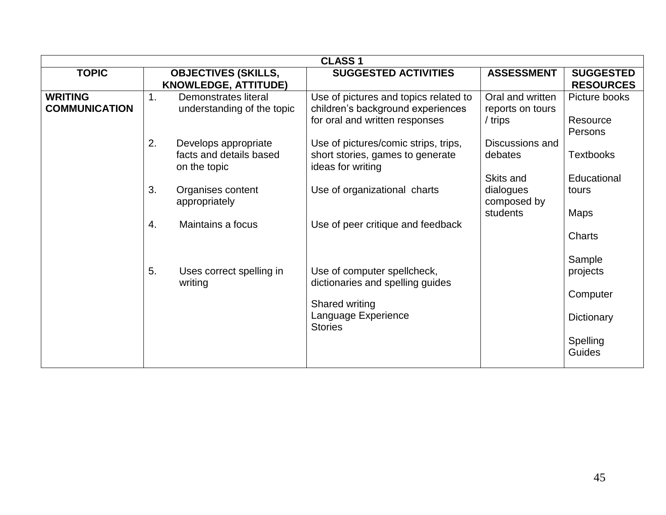|                                        | <b>CLASS 1</b> |                                                                 |                                                                                                              |                                                   |                                      |  |  |  |
|----------------------------------------|----------------|-----------------------------------------------------------------|--------------------------------------------------------------------------------------------------------------|---------------------------------------------------|--------------------------------------|--|--|--|
| <b>TOPIC</b>                           |                | <b>OBJECTIVES (SKILLS,</b><br><b>KNOWLEDGE, ATTITUDE)</b>       | <b>SUGGESTED ACTIVITIES</b>                                                                                  | <b>ASSESSMENT</b>                                 | <b>SUGGESTED</b><br><b>RESOURCES</b> |  |  |  |
| <b>WRITING</b><br><b>COMMUNICATION</b> | 1.             | Demonstrates literal<br>understanding of the topic              | Use of pictures and topics related to<br>children's background experiences<br>for oral and written responses | Oral and written<br>reports on tours<br>/ trips   | Picture books<br>Resource<br>Persons |  |  |  |
|                                        | 2.             | Develops appropriate<br>facts and details based<br>on the topic | Use of pictures/comic strips, trips,<br>short stories, games to generate<br>ideas for writing                | Discussions and<br>debates                        | <b>Textbooks</b>                     |  |  |  |
|                                        | 3.             | Organises content<br>appropriately                              | Use of organizational charts                                                                                 | Skits and<br>dialogues<br>composed by<br>students | Educational<br>tours<br><b>Maps</b>  |  |  |  |
|                                        | 4.             | Maintains a focus                                               | Use of peer critique and feedback                                                                            |                                                   | Charts                               |  |  |  |
|                                        | 5.             | Uses correct spelling in<br>writing                             | Use of computer spellcheck,<br>dictionaries and spelling guides                                              |                                                   | Sample<br>projects<br>Computer       |  |  |  |
|                                        |                |                                                                 | Shared writing<br>Language Experience<br><b>Stories</b>                                                      |                                                   | Dictionary<br>Spelling               |  |  |  |
|                                        |                |                                                                 |                                                                                                              |                                                   | <b>Guides</b>                        |  |  |  |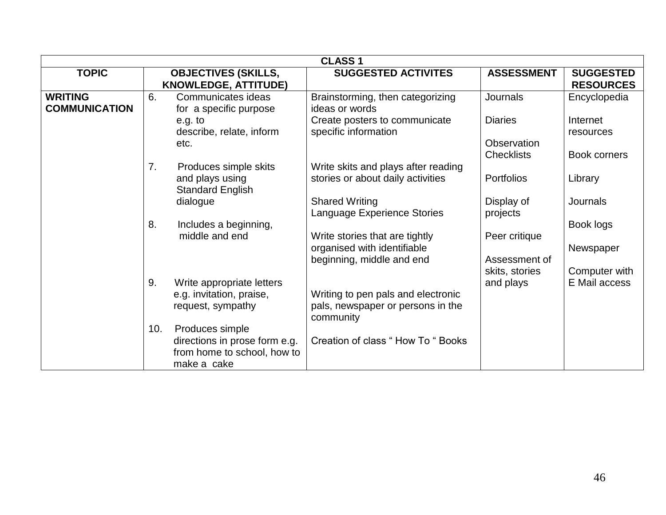| <b>CLASS 1</b>                         |                                                                                                       |                                                                                            |                                                    |                                       |  |  |
|----------------------------------------|-------------------------------------------------------------------------------------------------------|--------------------------------------------------------------------------------------------|----------------------------------------------------|---------------------------------------|--|--|
| <b>TOPIC</b>                           | <b>OBJECTIVES (SKILLS,</b><br><b>KNOWLEDGE, ATTITUDE)</b>                                             | <b>SUGGESTED ACTIVITES</b>                                                                 | <b>ASSESSMENT</b>                                  | <b>SUGGESTED</b><br><b>RESOURCES</b>  |  |  |
| <b>WRITING</b><br><b>COMMUNICATION</b> | 6.<br>Communicates ideas<br>for a specific purpose                                                    | Brainstorming, then categorizing<br>ideas or words                                         | <b>Journals</b>                                    | Encyclopedia                          |  |  |
|                                        | e.g. to<br>describe, relate, inform<br>etc.                                                           | Create posters to communicate<br>specific information                                      | <b>Diaries</b><br>Observation<br><b>Checklists</b> | Internet<br>resources<br>Book corners |  |  |
|                                        | Produces simple skits<br>7.<br>and plays using<br><b>Standard English</b>                             | Write skits and plays after reading<br>stories or about daily activities                   | <b>Portfolios</b>                                  | Library                               |  |  |
|                                        | dialogue                                                                                              | <b>Shared Writing</b><br>Language Experience Stories                                       | Display of<br>projects                             | Journals                              |  |  |
|                                        | 8.<br>Includes a beginning,<br>middle and end                                                         | Write stories that are tightly<br>organised with identifiable<br>beginning, middle and end | Peer critique<br>Assessment of                     | Book logs<br>Newspaper                |  |  |
|                                        | 9.<br>Write appropriate letters<br>e.g. invitation, praise,<br>request, sympathy                      | Writing to pen pals and electronic<br>pals, newspaper or persons in the<br>community       | skits, stories<br>and plays                        | Computer with<br>E Mail access        |  |  |
|                                        | Produces simple<br>10.<br>directions in prose form e.g.<br>from home to school, how to<br>make a cake | Creation of class "How To " Books                                                          |                                                    |                                       |  |  |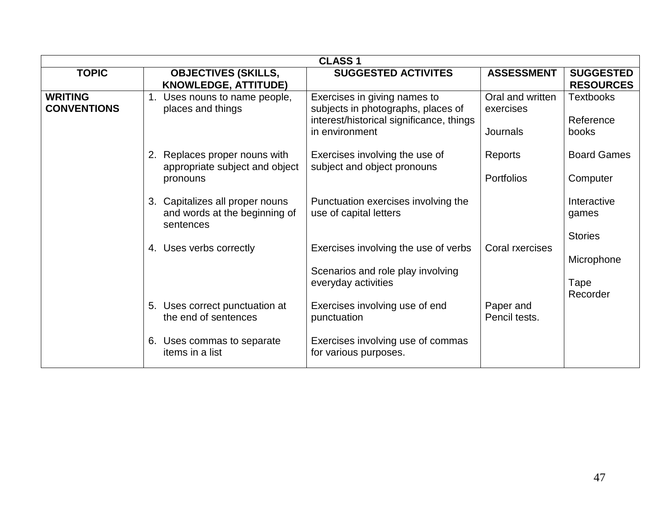| <b>CLASS1</b>                        |                                                                                      |                                                                                                                                  |                                           |                                        |  |
|--------------------------------------|--------------------------------------------------------------------------------------|----------------------------------------------------------------------------------------------------------------------------------|-------------------------------------------|----------------------------------------|--|
| <b>TOPIC</b>                         | <b>OBJECTIVES (SKILLS,</b><br><b>KNOWLEDGE, ATTITUDE)</b>                            | <b>SUGGESTED ACTIVITES</b>                                                                                                       | <b>ASSESSMENT</b>                         | <b>SUGGESTED</b><br><b>RESOURCES</b>   |  |
| <b>WRITING</b><br><b>CONVENTIONS</b> | 1. Uses nouns to name people,<br>places and things                                   | Exercises in giving names to<br>subjects in photographs, places of<br>interest/historical significance, things<br>in environment | Oral and written<br>exercises<br>Journals | Textbooks<br>Reference<br>books        |  |
|                                      | 2. Replaces proper nouns with<br>appropriate subject and object<br>pronouns          | Exercises involving the use of<br>subject and object pronouns                                                                    | Reports<br>Portfolios                     | <b>Board Games</b><br>Computer         |  |
|                                      | 3. Capitalizes all proper nouns<br>and words at the beginning of<br>sentences        | Punctuation exercises involving the<br>use of capital letters                                                                    |                                           | Interactive<br>games<br><b>Stories</b> |  |
|                                      | 4. Uses verbs correctly                                                              | Exercises involving the use of verbs<br>Scenarios and role play involving<br>everyday activities                                 | Coral rxercises                           | Microphone<br>Tape<br>Recorder         |  |
|                                      | 5. Uses correct punctuation at<br>the end of sentences<br>6. Uses commas to separate | Exercises involving use of end<br>punctuation<br>Exercises involving use of commas                                               | Paper and<br>Pencil tests.                |                                        |  |
|                                      | items in a list                                                                      | for various purposes.                                                                                                            |                                           |                                        |  |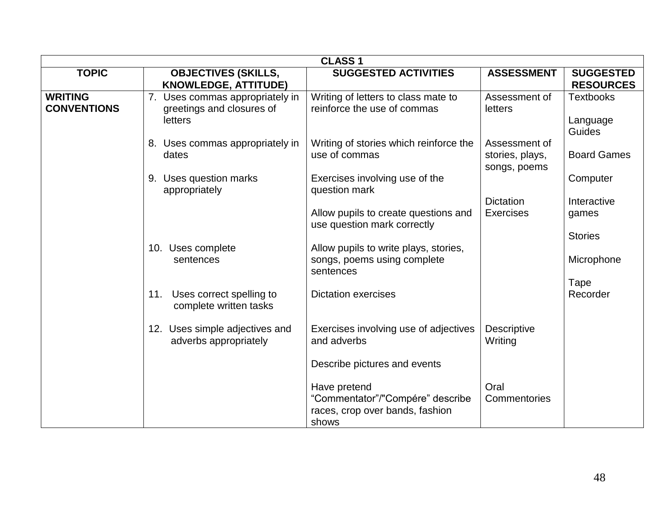|                                      | <b>CLASS1</b>                                                                  |                                                                                              |                                                  |                                        |  |
|--------------------------------------|--------------------------------------------------------------------------------|----------------------------------------------------------------------------------------------|--------------------------------------------------|----------------------------------------|--|
| <b>TOPIC</b>                         | <b>OBJECTIVES (SKILLS,</b><br><b>KNOWLEDGE, ATTITUDE)</b>                      | <b>SUGGESTED ACTIVITIES</b>                                                                  | <b>ASSESSMENT</b>                                | <b>SUGGESTED</b><br><b>RESOURCES</b>   |  |
| <b>WRITING</b><br><b>CONVENTIONS</b> | 7. Uses commas appropriately in<br>greetings and closures of<br><b>letters</b> | Writing of letters to class mate to<br>reinforce the use of commas                           | Assessment of<br>letters                         | <b>Textbooks</b><br>Language<br>Guides |  |
|                                      | 8. Uses commas appropriately in<br>dates                                       | Writing of stories which reinforce the<br>use of commas                                      | Assessment of<br>stories, plays,<br>songs, poems | <b>Board Games</b>                     |  |
|                                      | 9. Uses question marks<br>appropriately                                        | Exercises involving use of the<br>question mark                                              |                                                  | Computer                               |  |
|                                      |                                                                                | Allow pupils to create questions and                                                         | <b>Dictation</b><br><b>Exercises</b>             | Interactive<br>games                   |  |
|                                      |                                                                                | use question mark correctly                                                                  |                                                  |                                        |  |
|                                      | 10. Uses complete<br>sentences                                                 | Allow pupils to write plays, stories,<br>songs, poems using complete                         |                                                  | <b>Stories</b><br>Microphone           |  |
|                                      |                                                                                | sentences                                                                                    |                                                  | Tape                                   |  |
|                                      | Uses correct spelling to<br>11.<br>complete written tasks                      | <b>Dictation exercises</b>                                                                   |                                                  | Recorder                               |  |
|                                      | 12. Uses simple adjectives and<br>adverbs appropriately                        | Exercises involving use of adjectives<br>and adverbs                                         | <b>Descriptive</b><br>Writing                    |                                        |  |
|                                      |                                                                                | Describe pictures and events                                                                 |                                                  |                                        |  |
|                                      |                                                                                | Have pretend<br>"Commentator"/"Compére" describe<br>races, crop over bands, fashion<br>shows | Oral<br>Commentories                             |                                        |  |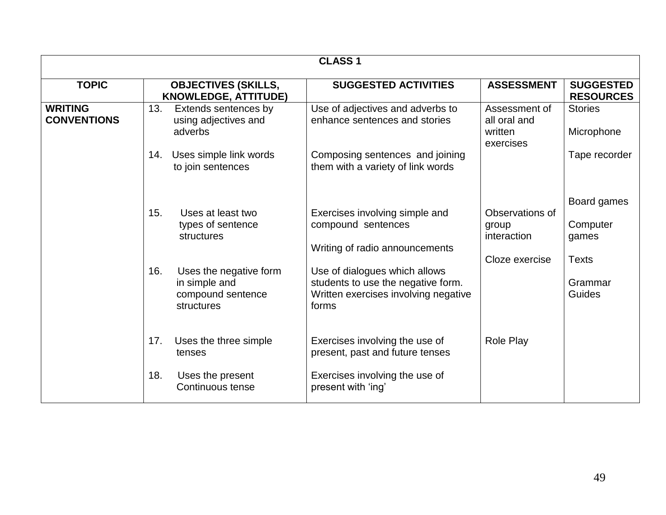| <b>CLASS 1</b>                       |            |                                                                                                 |                                                                                                                                                               |                                                           |                                                             |
|--------------------------------------|------------|-------------------------------------------------------------------------------------------------|---------------------------------------------------------------------------------------------------------------------------------------------------------------|-----------------------------------------------------------|-------------------------------------------------------------|
| <b>TOPIC</b>                         |            | <b>OBJECTIVES (SKILLS,</b><br><b>KNOWLEDGE, ATTITUDE)</b>                                       | <b>SUGGESTED ACTIVITIES</b>                                                                                                                                   | <b>ASSESSMENT</b>                                         | <b>SUGGESTED</b><br><b>RESOURCES</b>                        |
| <b>WRITING</b><br><b>CONVENTIONS</b> | 13.        | Extends sentences by<br>using adjectives and<br>adverbs                                         | Use of adjectives and adverbs to<br>enhance sentences and stories                                                                                             | Assessment of<br>all oral and<br>written<br>exercises     | <b>Stories</b><br>Microphone                                |
|                                      | 14.        | Uses simple link words<br>to join sentences                                                     | Composing sentences and joining<br>them with a variety of link words                                                                                          |                                                           | Tape recorder                                               |
|                                      | 15.<br>16. | Uses at least two<br>types of sentence<br>structures<br>Uses the negative form<br>in simple and | Exercises involving simple and<br>compound sentences<br>Writing of radio announcements<br>Use of dialogues which allows<br>students to use the negative form. | Observations of<br>group<br>interaction<br>Cloze exercise | Board games<br>Computer<br>games<br><b>Texts</b><br>Grammar |
|                                      |            | compound sentence<br>structures                                                                 | Written exercises involving negative<br>forms                                                                                                                 |                                                           | Guides                                                      |
|                                      | 17.        | Uses the three simple<br>tenses                                                                 | Exercises involving the use of<br>present, past and future tenses                                                                                             | Role Play                                                 |                                                             |
|                                      | 18.        | Uses the present<br>Continuous tense                                                            | Exercises involving the use of<br>present with 'ing'                                                                                                          |                                                           |                                                             |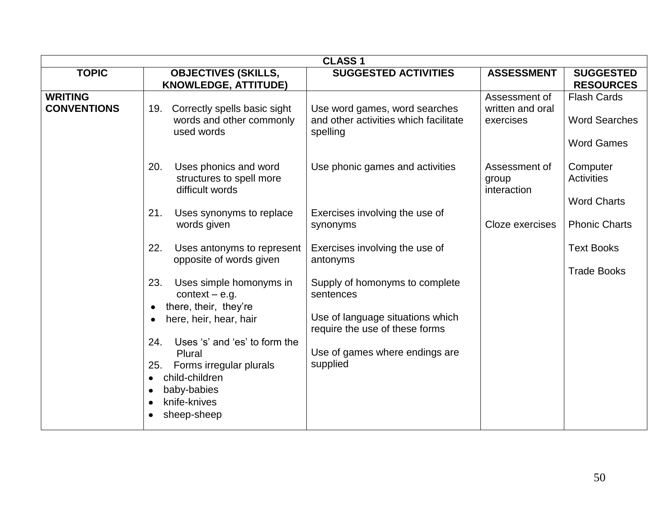| <b>CLASS1</b>                        |                                                                                                                                 |                                                                                    |                                                |                                                                 |  |
|--------------------------------------|---------------------------------------------------------------------------------------------------------------------------------|------------------------------------------------------------------------------------|------------------------------------------------|-----------------------------------------------------------------|--|
| <b>TOPIC</b>                         | <b>OBJECTIVES (SKILLS,</b><br><b>KNOWLEDGE, ATTITUDE)</b>                                                                       | <b>SUGGESTED ACTIVITIES</b>                                                        | <b>ASSESSMENT</b>                              | <b>SUGGESTED</b><br><b>RESOURCES</b>                            |  |
| <b>WRITING</b><br><b>CONVENTIONS</b> | Correctly spells basic sight<br>19.<br>words and other commonly<br>used words                                                   | Use word games, word searches<br>and other activities which facilitate<br>spelling | Assessment of<br>written and oral<br>exercises | <b>Flash Cards</b><br><b>Word Searches</b><br><b>Word Games</b> |  |
|                                      | Uses phonics and word<br>20.<br>structures to spell more<br>difficult words                                                     | Use phonic games and activities                                                    | Assessment of<br>group<br>interaction          | Computer<br>Activities<br><b>Word Charts</b>                    |  |
|                                      | Uses synonyms to replace<br>21.<br>words given                                                                                  | Exercises involving the use of<br>synonyms                                         | Cloze exercises                                | <b>Phonic Charts</b>                                            |  |
|                                      | 22.<br>Uses antonyms to represent<br>opposite of words given                                                                    | Exercises involving the use of<br>antonyms                                         |                                                | <b>Text Books</b><br><b>Trade Books</b>                         |  |
|                                      | Uses simple homonyms in<br>23.<br>context $-$ e.g.<br>there, their, they're<br>$\bullet$<br>here, heir, hear, hair<br>$\bullet$ | Supply of homonyms to complete<br>sentences<br>Use of language situations which    |                                                |                                                                 |  |
|                                      | Uses 's' and 'es' to form the<br>24.<br>Plural<br>Forms irregular plurals<br>25.                                                | require the use of these forms<br>Use of games where endings are<br>supplied       |                                                |                                                                 |  |
|                                      | child-children<br>$\bullet$<br>baby-babies<br>$\bullet$<br>knife-knives<br>$\bullet$<br>sheep-sheep<br>$\bullet$                |                                                                                    |                                                |                                                                 |  |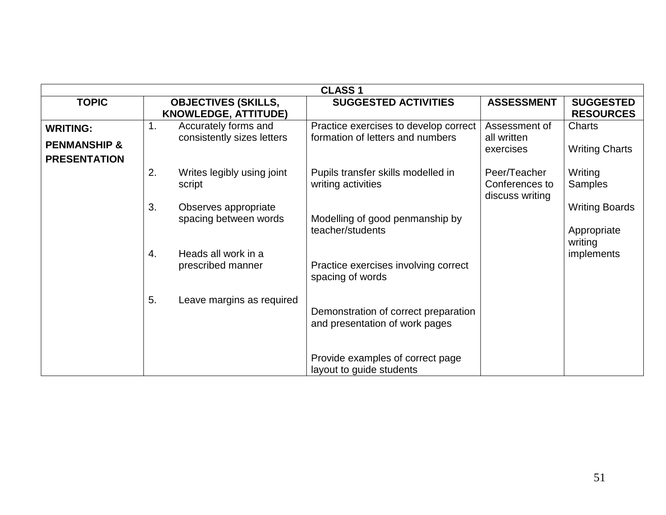| <b>CLASS1</b>                              |                                                           |                                                                           |                                                   |                                        |  |
|--------------------------------------------|-----------------------------------------------------------|---------------------------------------------------------------------------|---------------------------------------------------|----------------------------------------|--|
| <b>TOPIC</b>                               | <b>OBJECTIVES (SKILLS,</b><br><b>KNOWLEDGE, ATTITUDE)</b> | <b>SUGGESTED ACTIVITIES</b>                                               | <b>ASSESSMENT</b>                                 | <b>SUGGESTED</b><br><b>RESOURCES</b>   |  |
| <b>WRITING:</b><br><b>PENMANSHIP &amp;</b> | 1.<br>Accurately forms and<br>consistently sizes letters  | Practice exercises to develop correct<br>formation of letters and numbers | Assessment of<br>all written<br>exercises         | <b>Charts</b><br><b>Writing Charts</b> |  |
| <b>PRESENTATION</b>                        | 2.<br>Writes legibly using joint<br>script                | Pupils transfer skills modelled in<br>writing activities                  | Peer/Teacher<br>Conferences to<br>discuss writing | Writing<br><b>Samples</b>              |  |
|                                            | 3.<br>Observes appropriate<br>spacing between words       | Modelling of good penmanship by<br>teacher/students                       |                                                   | <b>Writing Boards</b><br>Appropriate   |  |
|                                            | Heads all work in a<br>4.<br>prescribed manner            | Practice exercises involving correct<br>spacing of words                  |                                                   | writing<br>implements                  |  |
|                                            | 5.<br>Leave margins as required                           | Demonstration of correct preparation<br>and presentation of work pages    |                                                   |                                        |  |
|                                            |                                                           | Provide examples of correct page<br>layout to guide students              |                                                   |                                        |  |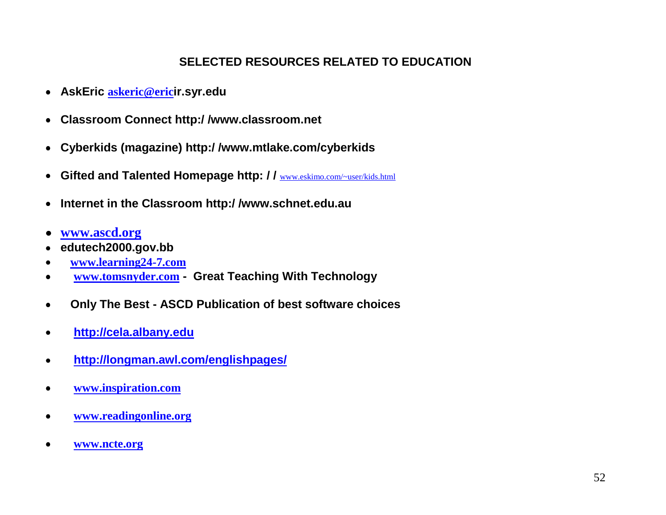## **SELECTED RESOURCES RELATED TO EDUCATION**

- **AskEric [askeric@eric](mailto:askeric@ericri.syr.edu)ir.syr.edu**
- **Classroom Connect http:/ /www.classroom.net**
- **Cyberkids (magazine) http:/ /www.mtlake.com/cyberkids**
- **Gifted and Talented Homepage http: / /** [www.eskimo.com/~user/kids.html](http://www.eskimo.com/~user/kids.html)
- **Internet in the Classroom http:/ /www.schnet.edu.au**  $\bullet$
- **[www.ascd.org](http://www.ascd.org/)**
- **edutech2000.gov.bb**
- **[www.learning24-7.com](http://www.learning24-7.com/)**
- **[www.tomsnyder.com](http://www.tomsnyder.com/) Great Teaching With Technology**
- **Only The Best - ASCD Publication of best software choices**  $\bullet$
- **[http://cela.albany.edu](http://cela.albany.edu/)**  $\bullet$
- **<http://longman.awl.com/englishpages/>**  $\bullet$
- **[www.inspiration.com](http://www.inspiration.com/)**  $\bullet$
- **[www.readingonline.org](http://www.readingonline.org/)**  $\bullet$
- **[www.ncte.org](http://www.ncte.org/)** $\bullet$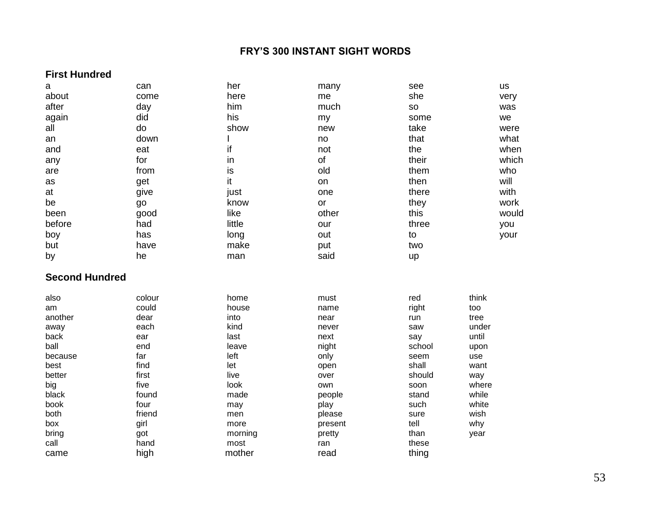#### **FRY'S 300 INSTANT SIGHT WORDS**

#### **First Hundred**

| $\mathbf a$           | can          | her            | many    | see            | us    |
|-----------------------|--------------|----------------|---------|----------------|-------|
| about                 | come         | here           | me      | she            | very  |
| after                 | day          | him            | much    | SO             | was   |
| again                 | did          | his            | my      | some           | we    |
| all                   | do           | show           | new     | take           | were  |
| an                    | down         |                | no      | that           | what  |
| and                   | eat          | if             | not     | the            | when  |
| any                   | for          | in             | of      | their          | which |
| are                   | from         | is             | old     | them           | who   |
| as                    | get          | it             | on      | then           | will  |
| at                    | give         | just           | one     | there          | with  |
| be                    | go           | know           | or      | they           | work  |
| been                  | good         | like           | other   | this           | would |
| before                | had          | little         | our     | three          | you   |
| boy                   | has          | long           | out     | to             | your  |
| but                   | have         | make           | put     | two            |       |
| by                    | he           | man            | said    | up             |       |
|                       |              |                |         |                |       |
| <b>Second Hundred</b> |              |                |         |                |       |
|                       |              |                |         |                |       |
| also                  | colour       | home           | must    | red            | think |
| am                    | could        | house          | name    | right          | too   |
| another               | dear         | into           | near    | run            | tree  |
| away                  | each         | kind           | never   | saw            | under |
| back                  | ear          | last           | next    | say            | until |
| ball                  | end          | leave          | night   | school         | upon  |
| because               | far          | left           | only    | seem           | use   |
| best                  | find         | let            | open    | shall          | want  |
| better                | first        | live           | over    | should         | way   |
| big                   | five         | look           | own     | soon           | where |
| black                 | found        | made           | people  | stand          | while |
| book                  | four         | may            | play    | such           | white |
| both                  | friend       | men            | please  | sure           | wish  |
| box                   | girl         | more           | present | tell           | why   |
| bring                 | got          | morning        | pretty  | than           | year  |
| call                  | hand<br>high | most<br>mother | ran     | these<br>thing |       |